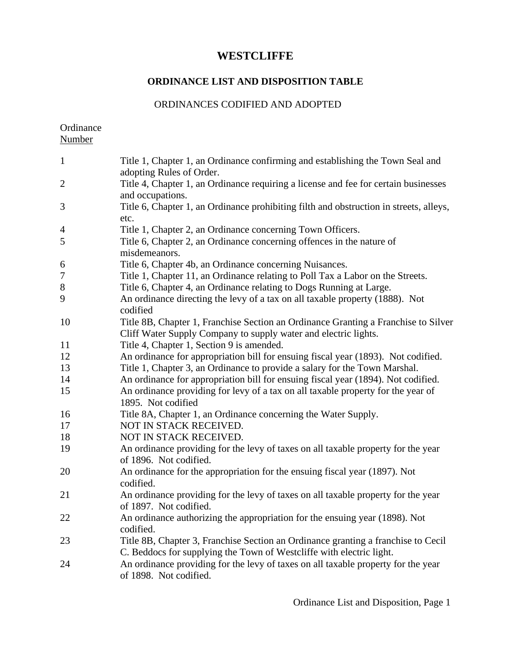# **ORDINANCE LIST AND DISPOSITION TABLE**

### ORDINANCES CODIFIED AND ADOPTED

Ordinance Number

| $\mathbf{1}$   | Title 1, Chapter 1, an Ordinance confirming and establishing the Town Seal and<br>adopting Rules of Order.                                                |
|----------------|-----------------------------------------------------------------------------------------------------------------------------------------------------------|
| $\overline{2}$ | Title 4, Chapter 1, an Ordinance requiring a license and fee for certain businesses<br>and occupations.                                                   |
| 3              | Title 6, Chapter 1, an Ordinance prohibiting filth and obstruction in streets, alleys,<br>etc.                                                            |
| $\overline{4}$ | Title 1, Chapter 2, an Ordinance concerning Town Officers.                                                                                                |
| 5              | Title 6, Chapter 2, an Ordinance concerning offences in the nature of<br>misdemeanors.                                                                    |
| 6              | Title 6, Chapter 4b, an Ordinance concerning Nuisances.                                                                                                   |
| $\overline{7}$ | Title 1, Chapter 11, an Ordinance relating to Poll Tax a Labor on the Streets.                                                                            |
| $8\,$          | Title 6, Chapter 4, an Ordinance relating to Dogs Running at Large.                                                                                       |
| 9              | An ordinance directing the levy of a tax on all taxable property (1888). Not<br>codified                                                                  |
| 10             | Title 8B, Chapter 1, Franchise Section an Ordinance Granting a Franchise to Silver<br>Cliff Water Supply Company to supply water and electric lights.     |
| 11             | Title 4, Chapter 1, Section 9 is amended.                                                                                                                 |
| 12             | An ordinance for appropriation bill for ensuing fiscal year (1893). Not codified.                                                                         |
| 13             | Title 1, Chapter 3, an Ordinance to provide a salary for the Town Marshal.                                                                                |
| 14             | An ordinance for appropriation bill for ensuing fiscal year (1894). Not codified.                                                                         |
| 15             | An ordinance providing for levy of a tax on all taxable property for the year of<br>1895. Not codified                                                    |
| 16             | Title 8A, Chapter 1, an Ordinance concerning the Water Supply.                                                                                            |
| 17             | NOT IN STACK RECEIVED.                                                                                                                                    |
| 18             | NOT IN STACK RECEIVED.                                                                                                                                    |
| 19             | An ordinance providing for the levy of taxes on all taxable property for the year<br>of 1896. Not codified.                                               |
| 20             | An ordinance for the appropriation for the ensuing fiscal year (1897). Not<br>codified.                                                                   |
| 21             | An ordinance providing for the levy of taxes on all taxable property for the year<br>of 1897. Not codified.                                               |
| 22             | An ordinance authorizing the appropriation for the ensuing year (1898). Not<br>codified.                                                                  |
| 23             | Title 8B, Chapter 3, Franchise Section an Ordinance granting a franchise to Cecil<br>C. Beddocs for supplying the Town of Westcliffe with electric light. |
| 24             | An ordinance providing for the levy of taxes on all taxable property for the year<br>of 1898. Not codified.                                               |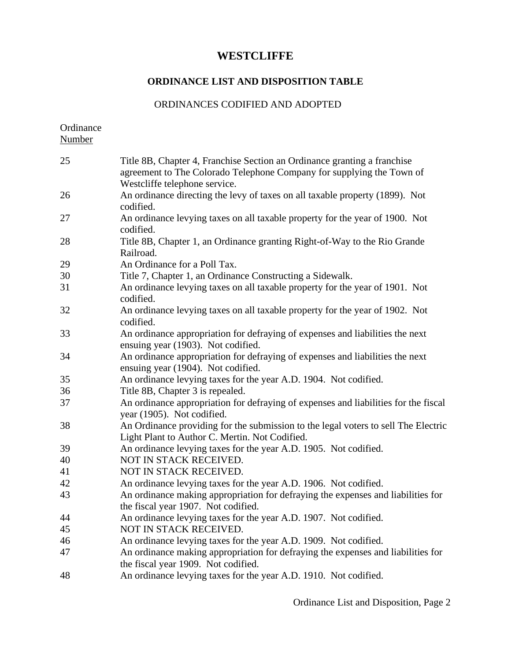#### **ORDINANCE LIST AND DISPOSITION TABLE**

#### ORDINANCES CODIFIED AND ADOPTED

**Ordinance** Number Title 8B, Chapter 4, Franchise Section an Ordinance granting a franchise agreement to The Colorado Telephone Company for supplying the Town of Westcliffe telephone service. An ordinance directing the levy of taxes on all taxable property (1899). Not codified. An ordinance levying taxes on all taxable property for the year of 1900. Not codified. Title 8B, Chapter 1, an Ordinance granting Right-of-Way to the Rio Grande Railroad. An Ordinance for a Poll Tax. Title 7, Chapter 1, an Ordinance Constructing a Sidewalk. An ordinance levying taxes on all taxable property for the year of 1901. Not codified. An ordinance levying taxes on all taxable property for the year of 1902. Not codified. An ordinance appropriation for defraying of expenses and liabilities the next ensuing year (1903). Not codified. An ordinance appropriation for defraying of expenses and liabilities the next ensuing year (1904). Not codified. An ordinance levying taxes for the year A.D. 1904. Not codified. Title 8B, Chapter 3 is repealed. An ordinance appropriation for defraying of expenses and liabilities for the fiscal year (1905). Not codified. An Ordinance providing for the submission to the legal voters to sell The Electric Light Plant to Author C. Mertin. Not Codified. An ordinance levying taxes for the year A.D. 1905. Not codified. NOT IN STACK RECEIVED. NOT IN STACK RECEIVED. An ordinance levying taxes for the year A.D. 1906. Not codified. An ordinance making appropriation for defraying the expenses and liabilities for the fiscal year 1907. Not codified. An ordinance levying taxes for the year A.D. 1907. Not codified. NOT IN STACK RECEIVED. An ordinance levying taxes for the year A.D. 1909. Not codified. An ordinance making appropriation for defraying the expenses and liabilities for the fiscal year 1909. Not codified. An ordinance levying taxes for the year A.D. 1910. Not codified.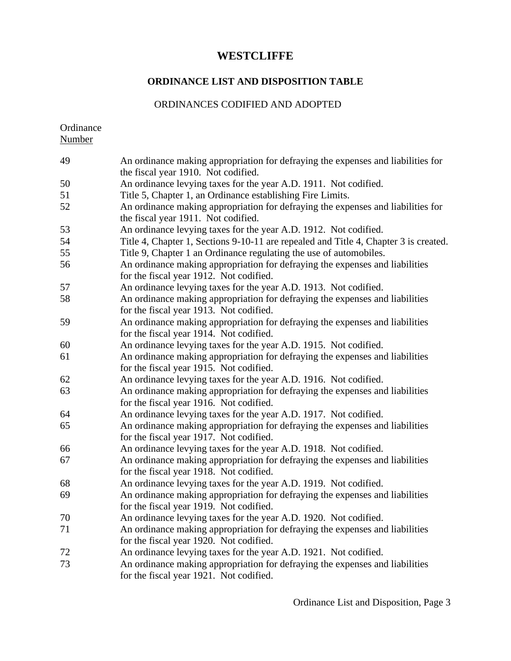#### **ORDINANCE LIST AND DISPOSITION TABLE**

#### ORDINANCES CODIFIED AND ADOPTED

**Ordinance** Number

 An ordinance making appropriation for defraying the expenses and liabilities for the fiscal year 1910. Not codified. An ordinance levying taxes for the year A.D. 1911. Not codified. Title 5, Chapter 1, an Ordinance establishing Fire Limits. An ordinance making appropriation for defraying the expenses and liabilities for the fiscal year 1911. Not codified. An ordinance levying taxes for the year A.D. 1912. Not codified. Title 4, Chapter 1, Sections 9-10-11 are repealed and Title 4, Chapter 3 is created. Title 9, Chapter 1 an Ordinance regulating the use of automobiles. An ordinance making appropriation for defraying the expenses and liabilities for the fiscal year 1912. Not codified. An ordinance levying taxes for the year A.D. 1913. Not codified. An ordinance making appropriation for defraying the expenses and liabilities for the fiscal year 1913. Not codified. An ordinance making appropriation for defraying the expenses and liabilities for the fiscal year 1914. Not codified. An ordinance levying taxes for the year A.D. 1915. Not codified. An ordinance making appropriation for defraying the expenses and liabilities for the fiscal year 1915. Not codified. An ordinance levying taxes for the year A.D. 1916. Not codified. An ordinance making appropriation for defraying the expenses and liabilities for the fiscal year 1916. Not codified. An ordinance levying taxes for the year A.D. 1917. Not codified. An ordinance making appropriation for defraying the expenses and liabilities for the fiscal year 1917. Not codified. An ordinance levying taxes for the year A.D. 1918. Not codified. An ordinance making appropriation for defraying the expenses and liabilities for the fiscal year 1918. Not codified. An ordinance levying taxes for the year A.D. 1919. Not codified. An ordinance making appropriation for defraying the expenses and liabilities for the fiscal year 1919. Not codified. An ordinance levying taxes for the year A.D. 1920. Not codified. An ordinance making appropriation for defraying the expenses and liabilities for the fiscal year 1920. Not codified. 72 An ordinance levying taxes for the year A.D. 1921. Not codified. An ordinance making appropriation for defraying the expenses and liabilities for the fiscal year 1921. Not codified.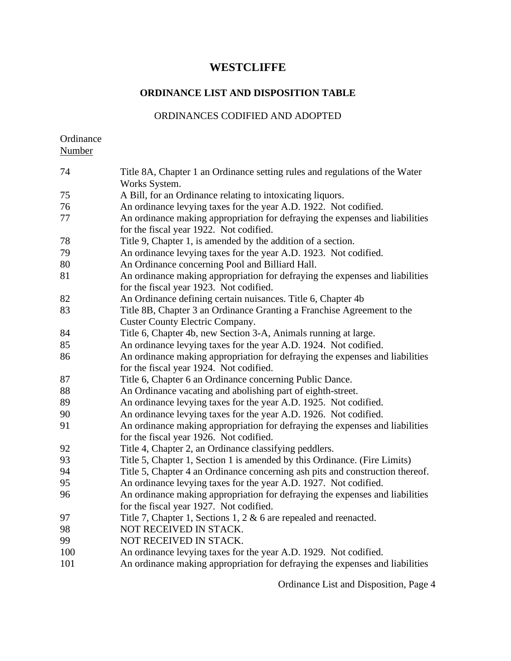## **ORDINANCE LIST AND DISPOSITION TABLE**

### ORDINANCES CODIFIED AND ADOPTED

Ordinance Number

| 74  | Title 8A, Chapter 1 an Ordinance setting rules and regulations of the Water<br>Works System.                            |
|-----|-------------------------------------------------------------------------------------------------------------------------|
| 75  | A Bill, for an Ordinance relating to intoxicating liquors.                                                              |
| 76  | An ordinance levying taxes for the year A.D. 1922. Not codified.                                                        |
|     |                                                                                                                         |
| 77  | An ordinance making appropriation for defraying the expenses and liabilities<br>for the fiscal year 1922. Not codified. |
| 78  | Title 9, Chapter 1, is amended by the addition of a section.                                                            |
| 79  | An ordinance levying taxes for the year A.D. 1923. Not codified.                                                        |
| 80  | An Ordinance concerning Pool and Billiard Hall.                                                                         |
| 81  | An ordinance making appropriation for defraying the expenses and liabilities                                            |
|     | for the fiscal year 1923. Not codified.                                                                                 |
| 82  | An Ordinance defining certain nuisances. Title 6, Chapter 4b                                                            |
| 83  | Title 8B, Chapter 3 an Ordinance Granting a Franchise Agreement to the                                                  |
|     | <b>Custer County Electric Company.</b>                                                                                  |
| 84  | Title 6, Chapter 4b, new Section 3-A, Animals running at large.                                                         |
| 85  | An ordinance levying taxes for the year A.D. 1924. Not codified.                                                        |
| 86  | An ordinance making appropriation for defraying the expenses and liabilities                                            |
|     | for the fiscal year 1924. Not codified.                                                                                 |
| 87  | Title 6, Chapter 6 an Ordinance concerning Public Dance.                                                                |
| 88  | An Ordinance vacating and abolishing part of eighth-street.                                                             |
| 89  | An ordinance levying taxes for the year A.D. 1925. Not codified.                                                        |
| 90  | An ordinance levying taxes for the year A.D. 1926. Not codified.                                                        |
| 91  | An ordinance making appropriation for defraying the expenses and liabilities                                            |
|     | for the fiscal year 1926. Not codified.                                                                                 |
| 92  | Title 4, Chapter 2, an Ordinance classifying peddlers.                                                                  |
| 93  | Title 5, Chapter 1, Section 1 is amended by this Ordinance. (Fire Limits)                                               |
| 94  | Title 5, Chapter 4 an Ordinance concerning ash pits and construction thereof.                                           |
| 95  | An ordinance levying taxes for the year A.D. 1927. Not codified.                                                        |
| 96  | An ordinance making appropriation for defraying the expenses and liabilities                                            |
|     | for the fiscal year 1927. Not codified.                                                                                 |
| 97  | Title 7, Chapter 1, Sections 1, 2 $\&$ 6 are repealed and reenacted.                                                    |
| 98  | NOT RECEIVED IN STACK.                                                                                                  |
| 99  | NOT RECEIVED IN STACK.                                                                                                  |
| 100 | An ordinance levying taxes for the year A.D. 1929. Not codified.                                                        |
| 101 | An ordinance making appropriation for defraying the expenses and liabilities                                            |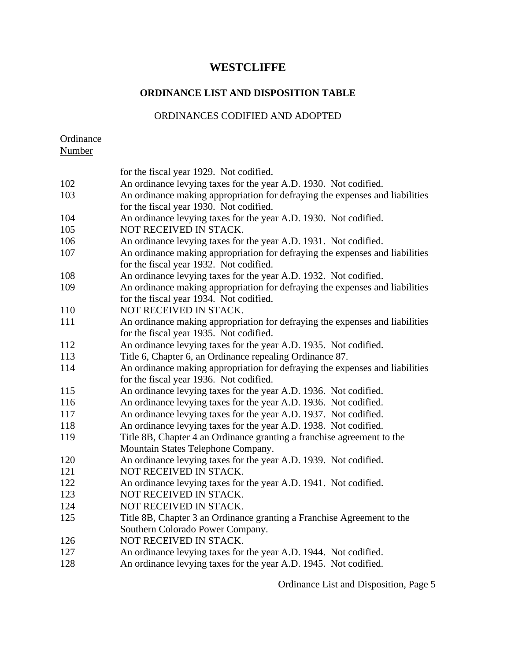## **ORDINANCE LIST AND DISPOSITION TABLE**

### ORDINANCES CODIFIED AND ADOPTED

**Ordinance** Number

|     | for the fiscal year 1929. Not codified.                                      |
|-----|------------------------------------------------------------------------------|
| 102 | An ordinance levying taxes for the year A.D. 1930. Not codified.             |
| 103 | An ordinance making appropriation for defraying the expenses and liabilities |
|     | for the fiscal year 1930. Not codified.                                      |
| 104 | An ordinance levying taxes for the year A.D. 1930. Not codified.             |
| 105 | NOT RECEIVED IN STACK.                                                       |
| 106 | An ordinance levying taxes for the year A.D. 1931. Not codified.             |
| 107 | An ordinance making appropriation for defraying the expenses and liabilities |
|     | for the fiscal year 1932. Not codified.                                      |
| 108 | An ordinance levying taxes for the year A.D. 1932. Not codified.             |
| 109 | An ordinance making appropriation for defraying the expenses and liabilities |
|     | for the fiscal year 1934. Not codified.                                      |
| 110 | NOT RECEIVED IN STACK.                                                       |
| 111 | An ordinance making appropriation for defraying the expenses and liabilities |
|     | for the fiscal year 1935. Not codified.                                      |
| 112 | An ordinance levying taxes for the year A.D. 1935. Not codified.             |
| 113 | Title 6, Chapter 6, an Ordinance repealing Ordinance 87.                     |
| 114 | An ordinance making appropriation for defraying the expenses and liabilities |
|     | for the fiscal year 1936. Not codified.                                      |
| 115 | An ordinance levying taxes for the year A.D. 1936. Not codified.             |
| 116 | An ordinance levying taxes for the year A.D. 1936. Not codified.             |
| 117 | An ordinance levying taxes for the year A.D. 1937. Not codified.             |
| 118 | An ordinance levying taxes for the year A.D. 1938. Not codified.             |
| 119 | Title 8B, Chapter 4 an Ordinance granting a franchise agreement to the       |
|     | Mountain States Telephone Company.                                           |
| 120 | An ordinance levying taxes for the year A.D. 1939. Not codified.             |
| 121 | NOT RECEIVED IN STACK.                                                       |
| 122 | An ordinance levying taxes for the year A.D. 1941. Not codified.             |
| 123 | NOT RECEIVED IN STACK.                                                       |
| 124 | NOT RECEIVED IN STACK.                                                       |
| 125 | Title 8B, Chapter 3 an Ordinance granting a Franchise Agreement to the       |
|     | Southern Colorado Power Company.                                             |
| 126 | NOT RECEIVED IN STACK.                                                       |
| 127 | An ordinance levying taxes for the year A.D. 1944. Not codified.             |
| 128 | An ordinance levying taxes for the year A.D. 1945. Not codified.             |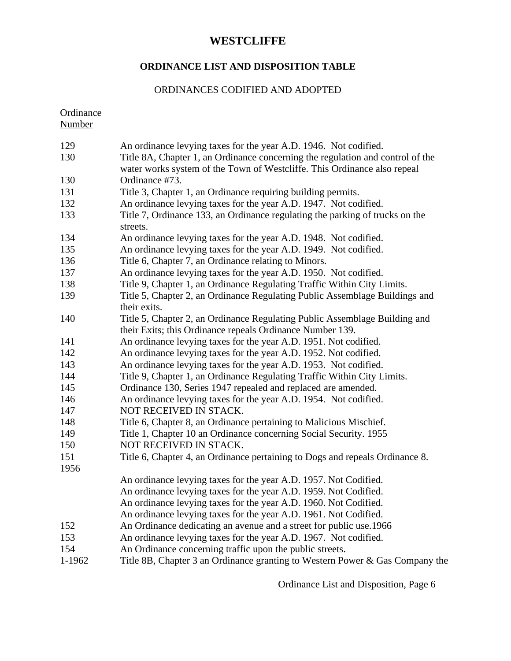# **ORDINANCE LIST AND DISPOSITION TABLE**

### ORDINANCES CODIFIED AND ADOPTED

Ordinance

Number

| 129    | An ordinance levying taxes for the year A.D. 1946. Not codified.                                                                        |
|--------|-----------------------------------------------------------------------------------------------------------------------------------------|
| 130    | Title 8A, Chapter 1, an Ordinance concerning the regulation and control of the                                                          |
|        | water works system of the Town of Westcliffe. This Ordinance also repeal                                                                |
| 130    | Ordinance #73.                                                                                                                          |
| 131    | Title 3, Chapter 1, an Ordinance requiring building permits.                                                                            |
| 132    | An ordinance levying taxes for the year A.D. 1947. Not codified.                                                                        |
| 133    | Title 7, Ordinance 133, an Ordinance regulating the parking of trucks on the<br>streets.                                                |
| 134    | An ordinance levying taxes for the year A.D. 1948. Not codified.                                                                        |
| 135    | An ordinance levying taxes for the year A.D. 1949. Not codified.                                                                        |
| 136    | Title 6, Chapter 7, an Ordinance relating to Minors.                                                                                    |
| 137    | An ordinance levying taxes for the year A.D. 1950. Not codified.                                                                        |
| 138    | Title 9, Chapter 1, an Ordinance Regulating Traffic Within City Limits.                                                                 |
| 139    | Title 5, Chapter 2, an Ordinance Regulating Public Assemblage Buildings and<br>their exits.                                             |
| 140    | Title 5, Chapter 2, an Ordinance Regulating Public Assemblage Building and<br>their Exits; this Ordinance repeals Ordinance Number 139. |
| 141    | An ordinance levying taxes for the year A.D. 1951. Not codified.                                                                        |
| 142    | An ordinance levying taxes for the year A.D. 1952. Not codified.                                                                        |
| 143    | An ordinance levying taxes for the year A.D. 1953. Not codified.                                                                        |
| 144    | Title 9, Chapter 1, an Ordinance Regulating Traffic Within City Limits.                                                                 |
| 145    | Ordinance 130, Series 1947 repealed and replaced are amended.                                                                           |
| 146    | An ordinance levying taxes for the year A.D. 1954. Not codified.                                                                        |
| 147    | NOT RECEIVED IN STACK.                                                                                                                  |
| 148    | Title 6, Chapter 8, an Ordinance pertaining to Malicious Mischief.                                                                      |
| 149    | Title 1, Chapter 10 an Ordinance concerning Social Security. 1955                                                                       |
| 150    | NOT RECEIVED IN STACK.                                                                                                                  |
| 151    | Title 6, Chapter 4, an Ordinance pertaining to Dogs and repeals Ordinance 8.                                                            |
| 1956   |                                                                                                                                         |
|        | An ordinance levying taxes for the year A.D. 1957. Not Codified.                                                                        |
|        | An ordinance levying taxes for the year A.D. 1959. Not Codified.                                                                        |
|        | An ordinance levying taxes for the year A.D. 1960. Not Codified.                                                                        |
|        | An ordinance levying taxes for the year A.D. 1961. Not Codified.                                                                        |
| 152    | An Ordinance dedicating an avenue and a street for public use.1966                                                                      |
| 153    | An ordinance levying taxes for the year A.D. 1967. Not codified.                                                                        |
| 154    | An Ordinance concerning traffic upon the public streets.                                                                                |
| 1-1962 | Title 8B, Chapter 3 an Ordinance granting to Western Power & Gas Company the                                                            |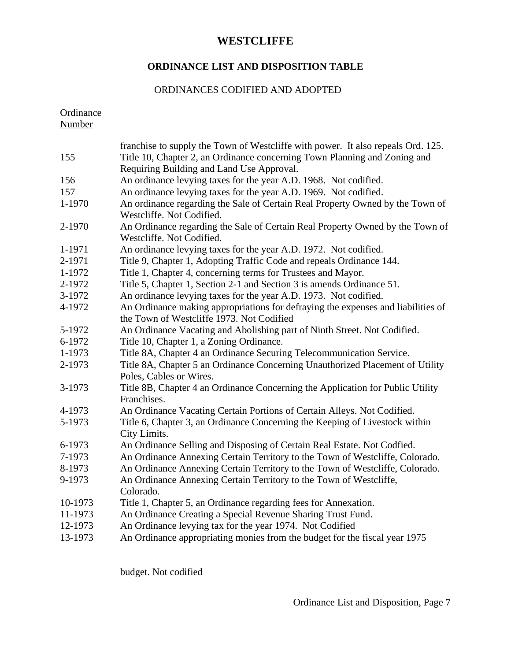## **ORDINANCE LIST AND DISPOSITION TABLE**

### ORDINANCES CODIFIED AND ADOPTED

Ordinance

Number

|         | franchise to supply the Town of Westcliffe with power. It also repeals Ord. 125. |
|---------|----------------------------------------------------------------------------------|
| 155     | Title 10, Chapter 2, an Ordinance concerning Town Planning and Zoning and        |
|         | Requiring Building and Land Use Approval.                                        |
| 156     | An ordinance levying taxes for the year A.D. 1968. Not codified.                 |
| 157     | An ordinance levying taxes for the year A.D. 1969. Not codified.                 |
| 1-1970  | An ordinance regarding the Sale of Certain Real Property Owned by the Town of    |
|         | Westcliffe. Not Codified.                                                        |
| 2-1970  | An Ordinance regarding the Sale of Certain Real Property Owned by the Town of    |
|         | Westcliffe. Not Codified.                                                        |
| 1-1971  | An ordinance levying taxes for the year A.D. 1972. Not codified.                 |
| 2-1971  | Title 9, Chapter 1, Adopting Traffic Code and repeals Ordinance 144.             |
| 1-1972  | Title 1, Chapter 4, concerning terms for Trustees and Mayor.                     |
| 2-1972  | Title 5, Chapter 1, Section 2-1 and Section 3 is amends Ordinance 51.            |
| 3-1972  | An ordinance levying taxes for the year A.D. 1973. Not codified.                 |
| 4-1972  | An Ordinance making appropriations for defraying the expenses and liabilities of |
|         | the Town of Westcliffe 1973. Not Codified                                        |
| 5-1972  | An Ordinance Vacating and Abolishing part of Ninth Street. Not Codified.         |
| 6-1972  | Title 10, Chapter 1, a Zoning Ordinance.                                         |
| 1-1973  | Title 8A, Chapter 4 an Ordinance Securing Telecommunication Service.             |
| 2-1973  | Title 8A, Chapter 5 an Ordinance Concerning Unauthorized Placement of Utility    |
|         | Poles, Cables or Wires.                                                          |
| 3-1973  | Title 8B, Chapter 4 an Ordinance Concerning the Application for Public Utility   |
|         | Franchises.                                                                      |
| 4-1973  | An Ordinance Vacating Certain Portions of Certain Alleys. Not Codified.          |
| 5-1973  | Title 6, Chapter 3, an Ordinance Concerning the Keeping of Livestock within      |
|         | City Limits.                                                                     |
| 6-1973  | An Ordinance Selling and Disposing of Certain Real Estate. Not Codfied.          |
| 7-1973  | An Ordinance Annexing Certain Territory to the Town of Westcliffe, Colorado.     |
| 8-1973  | An Ordinance Annexing Certain Territory to the Town of Westcliffe, Colorado.     |
| 9-1973  | An Ordinance Annexing Certain Territory to the Town of Westcliffe,               |
|         | Colorado.                                                                        |
| 10-1973 | Title 1, Chapter 5, an Ordinance regarding fees for Annexation.                  |
| 11-1973 | An Ordinance Creating a Special Revenue Sharing Trust Fund.                      |
| 12-1973 | An Ordinance levying tax for the year 1974. Not Codified                         |
| 13-1973 | An Ordinance appropriating monies from the budget for the fiscal year 1975       |

budget. Not codified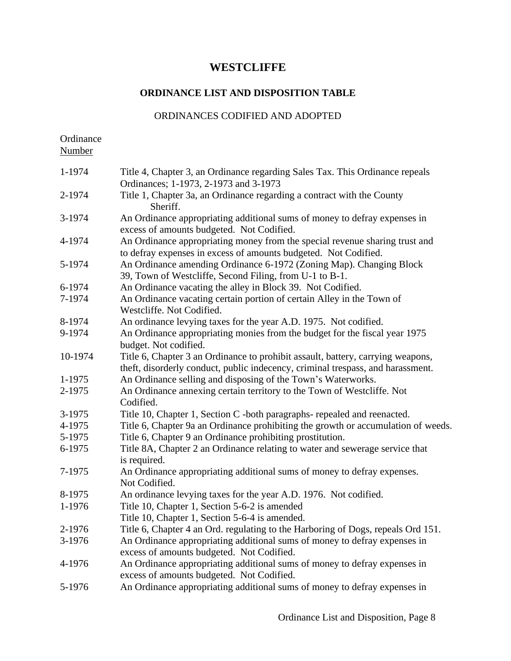### **ORDINANCE LIST AND DISPOSITION TABLE**

### ORDINANCES CODIFIED AND ADOPTED

Ordinance Number

| 1-1974  | Title 4, Chapter 3, an Ordinance regarding Sales Tax. This Ordinance repeals<br>Ordinances; 1-1973, 2-1973 and 3-1973                                              |
|---------|--------------------------------------------------------------------------------------------------------------------------------------------------------------------|
| 2-1974  | Title 1, Chapter 3a, an Ordinance regarding a contract with the County<br>Sheriff.                                                                                 |
| 3-1974  | An Ordinance appropriating additional sums of money to defray expenses in<br>excess of amounts budgeted. Not Codified.                                             |
| 4-1974  | An Ordinance appropriating money from the special revenue sharing trust and<br>to defray expenses in excess of amounts budgeted. Not Codified.                     |
| 5-1974  | An Ordinance amending Ordinance 6-1972 (Zoning Map). Changing Block<br>39, Town of Westcliffe, Second Filing, from U-1 to B-1.                                     |
| 6-1974  | An Ordinance vacating the alley in Block 39. Not Codified.                                                                                                         |
| 7-1974  | An Ordinance vacating certain portion of certain Alley in the Town of<br>Westcliffe. Not Codified.                                                                 |
| 8-1974  | An ordinance levying taxes for the year A.D. 1975. Not codified.                                                                                                   |
| 9-1974  | An Ordinance appropriating monies from the budget for the fiscal year 1975<br>budget. Not codified.                                                                |
| 10-1974 | Title 6, Chapter 3 an Ordinance to prohibit assault, battery, carrying weapons,<br>theft, disorderly conduct, public indecency, criminal trespass, and harassment. |
| 1-1975  | An Ordinance selling and disposing of the Town's Waterworks.                                                                                                       |
| 2-1975  | An Ordinance annexing certain territory to the Town of Westcliffe. Not<br>Codified.                                                                                |
| 3-1975  | Title 10, Chapter 1, Section C -both paragraphs- repealed and reenacted.                                                                                           |
| 4-1975  | Title 6, Chapter 9a an Ordinance prohibiting the growth or accumulation of weeds.                                                                                  |
| 5-1975  | Title 6, Chapter 9 an Ordinance prohibiting prostitution.                                                                                                          |
| 6-1975  | Title 8A, Chapter 2 an Ordinance relating to water and sewerage service that<br>is required.                                                                       |
| 7-1975  | An Ordinance appropriating additional sums of money to defray expenses.<br>Not Codified.                                                                           |
| 8-1975  | An ordinance levying taxes for the year A.D. 1976. Not codified.                                                                                                   |
| 1-1976  | Title 10, Chapter 1, Section 5-6-2 is amended<br>Title 10, Chapter 1, Section 5-6-4 is amended.                                                                    |
| 2-1976  | Title 6, Chapter 4 an Ord. regulating to the Harboring of Dogs, repeals Ord 151.                                                                                   |
| 3-1976  | An Ordinance appropriating additional sums of money to defray expenses in<br>excess of amounts budgeted. Not Codified.                                             |
| 4-1976  | An Ordinance appropriating additional sums of money to defray expenses in<br>excess of amounts budgeted. Not Codified.                                             |
| 5-1976  | An Ordinance appropriating additional sums of money to defray expenses in                                                                                          |
|         |                                                                                                                                                                    |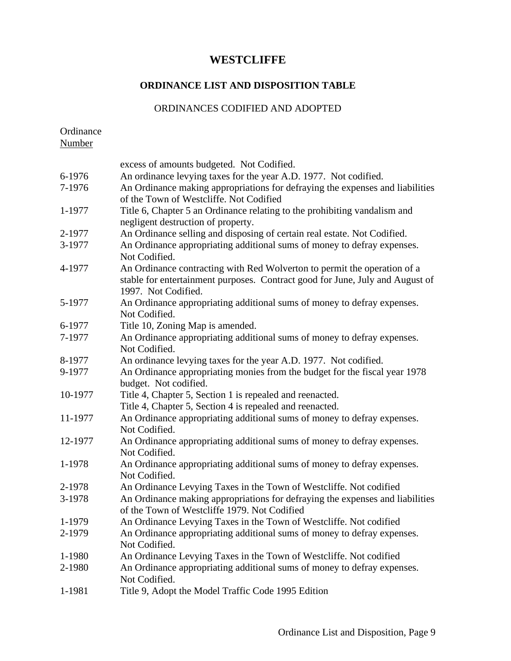### **ORDINANCE LIST AND DISPOSITION TABLE**

### ORDINANCES CODIFIED AND ADOPTED

Ordinance

| Number  |                                                                                                                                                                                  |
|---------|----------------------------------------------------------------------------------------------------------------------------------------------------------------------------------|
|         | excess of amounts budgeted. Not Codified.                                                                                                                                        |
| 6-1976  | An ordinance levying taxes for the year A.D. 1977. Not codified.                                                                                                                 |
| 7-1976  | An Ordinance making appropriations for defraying the expenses and liabilities<br>of the Town of Westcliffe. Not Codified                                                         |
| 1-1977  | Title 6, Chapter 5 an Ordinance relating to the prohibiting vandalism and<br>negligent destruction of property.                                                                  |
| 2-1977  | An Ordinance selling and disposing of certain real estate. Not Codified.                                                                                                         |
| 3-1977  | An Ordinance appropriating additional sums of money to defray expenses.<br>Not Codified.                                                                                         |
| 4-1977  | An Ordinance contracting with Red Wolverton to permit the operation of a<br>stable for entertainment purposes. Contract good for June, July and August of<br>1997. Not Codified. |
| 5-1977  | An Ordinance appropriating additional sums of money to defray expenses.<br>Not Codified.                                                                                         |
| 6-1977  | Title 10, Zoning Map is amended.                                                                                                                                                 |
| 7-1977  | An Ordinance appropriating additional sums of money to defray expenses.<br>Not Codified.                                                                                         |
| 8-1977  | An ordinance levying taxes for the year A.D. 1977. Not codified.                                                                                                                 |
| 9-1977  | An Ordinance appropriating monies from the budget for the fiscal year 1978<br>budget. Not codified.                                                                              |
| 10-1977 | Title 4, Chapter 5, Section 1 is repealed and reenacted.                                                                                                                         |
|         | Title 4, Chapter 5, Section 4 is repealed and reenacted.                                                                                                                         |
| 11-1977 | An Ordinance appropriating additional sums of money to defray expenses.<br>Not Codified.                                                                                         |
| 12-1977 | An Ordinance appropriating additional sums of money to defray expenses.<br>Not Codified.                                                                                         |
| 1-1978  | An Ordinance appropriating additional sums of money to defray expenses.<br>Not Codified.                                                                                         |
| 2-1978  | An Ordinance Levying Taxes in the Town of Westcliffe. Not codified                                                                                                               |
| 3-1978  | An Ordinance making appropriations for defraying the expenses and liabilities<br>of the Town of Westcliffe 1979. Not Codified                                                    |
| 1-1979  | An Ordinance Levying Taxes in the Town of Westcliffe. Not codified                                                                                                               |
| 2-1979  | An Ordinance appropriating additional sums of money to defray expenses.<br>Not Codified.                                                                                         |
| 1-1980  | An Ordinance Levying Taxes in the Town of Westcliffe. Not codified                                                                                                               |
| 2-1980  | An Ordinance appropriating additional sums of money to defray expenses.<br>Not Codified.                                                                                         |
| 1-1981  | Title 9, Adopt the Model Traffic Code 1995 Edition                                                                                                                               |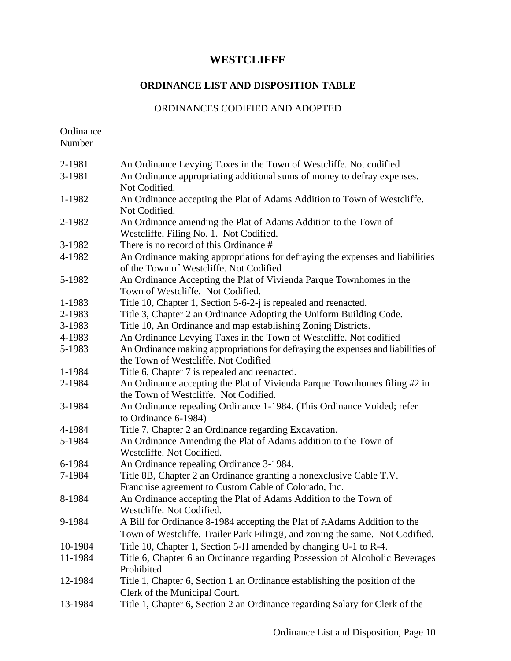#### **ORDINANCE LIST AND DISPOSITION TABLE**

#### ORDINANCES CODIFIED AND ADOPTED

Ordinance Number

2-1981 An Ordinance Levying Taxes in the Town of Westcliffe. Not codified 3-1981 An Ordinance appropriating additional sums of money to defray expenses. Not Codified. 1-1982 An Ordinance accepting the Plat of Adams Addition to Town of Westcliffe. Not Codified. 2-1982 An Ordinance amending the Plat of Adams Addition to the Town of Westcliffe, Filing No. 1. Not Codified. 3-1982 There is no record of this Ordinance # 4-1982 An Ordinance making appropriations for defraying the expenses and liabilities of the Town of Westcliffe. Not Codified 5-1982 An Ordinance Accepting the Plat of Vivienda Parque Townhomes in the Town of Westcliffe. Not Codified. 1-1983 Title 10, Chapter 1, Section 5-6-2-j is repealed and reenacted. 2-1983 Title 3, Chapter 2 an Ordinance Adopting the Uniform Building Code. 3-1983 Title 10, An Ordinance and map establishing Zoning Districts. 4-1983 An Ordinance Levying Taxes in the Town of Westcliffe. Not codified 5-1983 An Ordinance making appropriations for defraying the expenses and liabilities of the Town of Westcliffe. Not Codified 1-1984 Title 6, Chapter 7 is repealed and reenacted. 2-1984 An Ordinance accepting the Plat of Vivienda Parque Townhomes filing #2 in the Town of Westcliffe. Not Codified. 3-1984 An Ordinance repealing Ordinance 1-1984. (This Ordinance Voided; refer to Ordinance 6-1984) 4-1984 Title 7, Chapter 2 an Ordinance regarding Excavation. 5-1984 An Ordinance Amending the Plat of Adams addition to the Town of Westcliffe. Not Codified. 6-1984 An Ordinance repealing Ordinance 3-1984. 7-1984 Title 8B, Chapter 2 an Ordinance granting a nonexclusive Cable T.V. Franchise agreement to Custom Cable of Colorado, Inc. 8-1984 An Ordinance accepting the Plat of Adams Addition to the Town of Westcliffe. Not Codified. 9-1984 A Bill for Ordinance 8-1984 accepting the Plat of AAdams Addition to the Town of Westcliffe, Trailer Park Filing@, and zoning the same. Not Codified. 10-1984 Title 10, Chapter 1, Section 5-H amended by changing U-1 to R-4. 11-1984 Title 6, Chapter 6 an Ordinance regarding Possession of Alcoholic Beverages Prohibited. 12-1984 Title 1, Chapter 6, Section 1 an Ordinance establishing the position of the Clerk of the Municipal Court. 13-1984 Title 1, Chapter 6, Section 2 an Ordinance regarding Salary for Clerk of the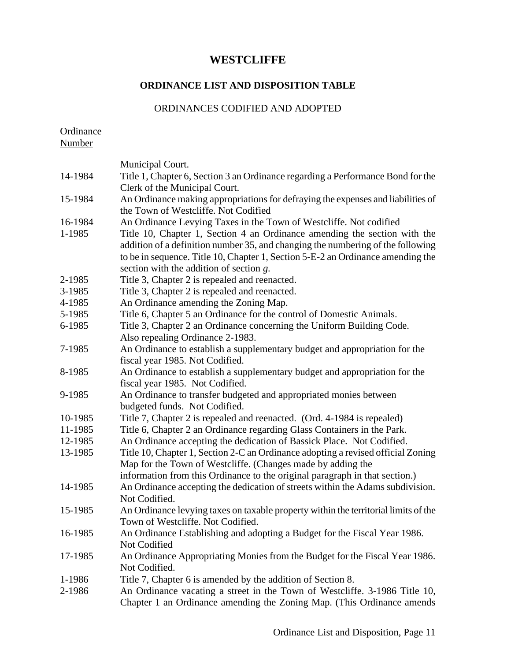#### **ORDINANCE LIST AND DISPOSITION TABLE**

#### ORDINANCES CODIFIED AND ADOPTED

Ordinance

Number Municipal Court. 14-1984 Title 1, Chapter 6, Section 3 an Ordinance regarding a Performance Bond for the Clerk of the Municipal Court. 15-1984 An Ordinance making appropriations for defraying the expenses and liabilities of the Town of Westcliffe. Not Codified 16-1984 An Ordinance Levying Taxes in the Town of Westcliffe. Not codified 1-1985 Title 10, Chapter 1, Section 4 an Ordinance amending the section with the addition of a definition number 35, and changing the numbering of the following to be in sequence. Title 10, Chapter 1, Section 5-E-2 an Ordinance amending the section with the addition of section *g.* 2-1985 Title 3, Chapter 2 is repealed and reenacted. 3-1985 Title 3, Chapter 2 is repealed and reenacted. 4-1985 An Ordinance amending the Zoning Map. 5-1985 Title 6, Chapter 5 an Ordinance for the control of Domestic Animals. 6-1985 Title 3, Chapter 2 an Ordinance concerning the Uniform Building Code. Also repealing Ordinance 2-1983. 7-1985 An Ordinance to establish a supplementary budget and appropriation for the fiscal year 1985. Not Codified. 8-1985 An Ordinance to establish a supplementary budget and appropriation for the fiscal year 1985. Not Codified. 9-1985 An Ordinance to transfer budgeted and appropriated monies between budgeted funds. Not Codified. 10-1985 Title 7, Chapter 2 is repealed and reenacted. (Ord. 4-1984 is repealed) 11-1985 Title 6, Chapter 2 an Ordinance regarding Glass Containers in the Park. 12-1985 An Ordinance accepting the dedication of Bassick Place. Not Codified. 13-1985 Title 10, Chapter 1, Section 2-C an Ordinance adopting a revised official Zoning Map for the Town of Westcliffe. (Changes made by adding the information from this Ordinance to the original paragraph in that section.) 14-1985 An Ordinance accepting the dedication of streets within the Adams subdivision. Not Codified. 15-1985 An Ordinance levying taxes on taxable property within the territorial limits of the Town of Westcliffe. Not Codified. 16-1985 An Ordinance Establishing and adopting a Budget for the Fiscal Year 1986. Not Codified 17-1985 An Ordinance Appropriating Monies from the Budget for the Fiscal Year 1986. Not Codified. 1-1986 Title 7, Chapter 6 is amended by the addition of Section 8. 2-1986 An Ordinance vacating a street in the Town of Westcliffe. 3-1986 Title 10,

Chapter 1 an Ordinance amending the Zoning Map. (This Ordinance amends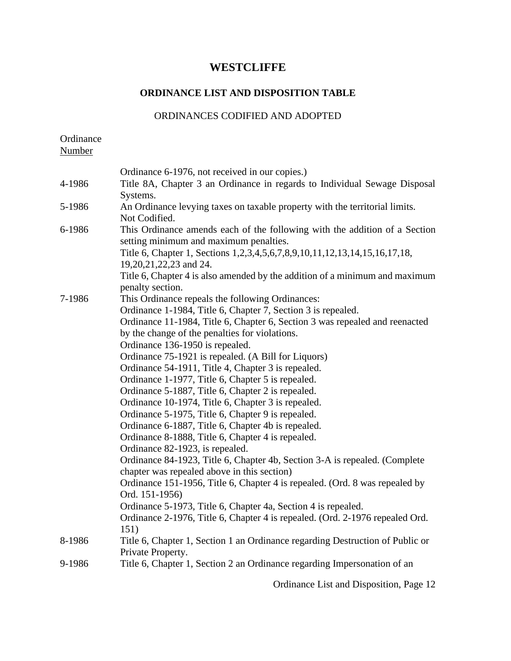## **ORDINANCE LIST AND DISPOSITION TABLE**

#### ORDINANCES CODIFIED AND ADOPTED

| Ordinance<br>Number |                                                                                                                           |
|---------------------|---------------------------------------------------------------------------------------------------------------------------|
|                     |                                                                                                                           |
|                     | Ordinance 6-1976, not received in our copies.)                                                                            |
| 4-1986              | Title 8A, Chapter 3 an Ordinance in regards to Individual Sewage Disposal<br>Systems.                                     |
| 5-1986              | An Ordinance levying taxes on taxable property with the territorial limits.<br>Not Codified.                              |
| 6-1986              | This Ordinance amends each of the following with the addition of a Section<br>setting minimum and maximum penalties.      |
|                     | Title 6, Chapter 1, Sections 1, 2, 3, 4, 5, 6, 7, 8, 9, 10, 11, 12, 13, 14, 15, 16, 17, 18,<br>19,20,21,22,23 and 24.     |
|                     | Title 6, Chapter 4 is also amended by the addition of a minimum and maximum<br>penalty section.                           |
| 7-1986              | This Ordinance repeals the following Ordinances:                                                                          |
|                     | Ordinance 1-1984, Title 6, Chapter 7, Section 3 is repealed.                                                              |
|                     | Ordinance 11-1984, Title 6, Chapter 6, Section 3 was repealed and reenacted                                               |
|                     | by the change of the penalties for violations.                                                                            |
|                     | Ordinance 136-1950 is repealed.                                                                                           |
|                     | Ordinance 75-1921 is repealed. (A Bill for Liquors)                                                                       |
|                     | Ordinance 54-1911, Title 4, Chapter 3 is repealed.                                                                        |
|                     | Ordinance 1-1977, Title 6, Chapter 5 is repealed.                                                                         |
|                     | Ordinance 5-1887, Title 6, Chapter 2 is repealed.                                                                         |
|                     | Ordinance 10-1974, Title 6, Chapter 3 is repealed.                                                                        |
|                     | Ordinance 5-1975, Title 6, Chapter 9 is repealed.                                                                         |
|                     | Ordinance 6-1887, Title 6, Chapter 4b is repealed.                                                                        |
|                     | Ordinance 8-1888, Title 6, Chapter 4 is repealed.                                                                         |
|                     | Ordinance 82-1923, is repealed.                                                                                           |
|                     | Ordinance 84-1923, Title 6, Chapter 4b, Section 3-A is repealed. (Complete<br>chapter was repealed above in this section) |
|                     | Ordinance 151-1956, Title 6, Chapter 4 is repealed. (Ord. 8 was repealed by                                               |
|                     | Ord. 151-1956)                                                                                                            |
|                     | Ordinance 5-1973, Title 6, Chapter 4a, Section 4 is repealed.                                                             |
|                     | Ordinance 2-1976, Title 6, Chapter 4 is repealed. (Ord. 2-1976 repealed Ord.<br>151)                                      |
| 8-1986              | Title 6, Chapter 1, Section 1 an Ordinance regarding Destruction of Public or<br>Private Property.                        |
| 9-1986              | Title 6, Chapter 1, Section 2 an Ordinance regarding Impersonation of an                                                  |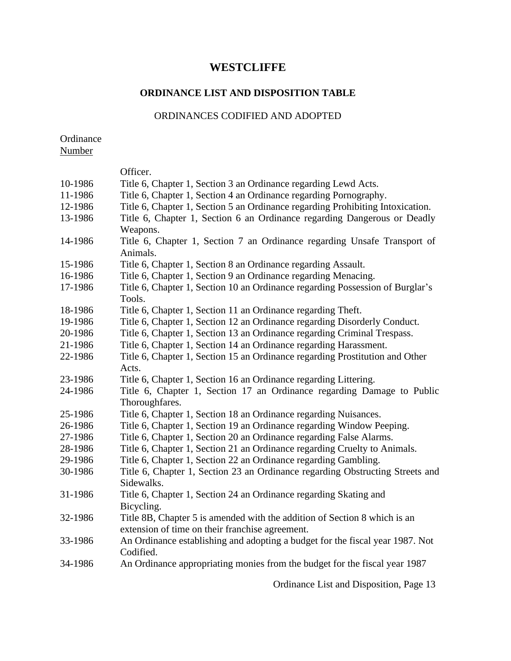## **ORDINANCE LIST AND DISPOSITION TABLE**

### ORDINANCES CODIFIED AND ADOPTED

Ordinance

Number

|         | Officer.                                                                       |
|---------|--------------------------------------------------------------------------------|
| 10-1986 | Title 6, Chapter 1, Section 3 an Ordinance regarding Lewd Acts.                |
| 11-1986 | Title 6, Chapter 1, Section 4 an Ordinance regarding Pornography.              |
| 12-1986 | Title 6, Chapter 1, Section 5 an Ordinance regarding Prohibiting Intoxication. |
| 13-1986 | Title 6, Chapter 1, Section 6 an Ordinance regarding Dangerous or Deadly       |
|         | Weapons.                                                                       |
| 14-1986 | Title 6, Chapter 1, Section 7 an Ordinance regarding Unsafe Transport of       |
|         | Animals.                                                                       |
| 15-1986 | Title 6, Chapter 1, Section 8 an Ordinance regarding Assault.                  |
| 16-1986 | Title 6, Chapter 1, Section 9 an Ordinance regarding Menacing.                 |
| 17-1986 | Title 6, Chapter 1, Section 10 an Ordinance regarding Possession of Burglar's  |
|         | Tools.                                                                         |
| 18-1986 | Title 6, Chapter 1, Section 11 an Ordinance regarding Theft.                   |
| 19-1986 | Title 6, Chapter 1, Section 12 an Ordinance regarding Disorderly Conduct.      |
| 20-1986 | Title 6, Chapter 1, Section 13 an Ordinance regarding Criminal Trespass.       |
| 21-1986 | Title 6, Chapter 1, Section 14 an Ordinance regarding Harassment.              |
| 22-1986 | Title 6, Chapter 1, Section 15 an Ordinance regarding Prostitution and Other   |
|         | Acts.                                                                          |
| 23-1986 | Title 6, Chapter 1, Section 16 an Ordinance regarding Littering.               |
| 24-1986 | Title 6, Chapter 1, Section 17 an Ordinance regarding Damage to Public         |
|         | Thoroughfares.                                                                 |
| 25-1986 | Title 6, Chapter 1, Section 18 an Ordinance regarding Nuisances.               |
| 26-1986 | Title 6, Chapter 1, Section 19 an Ordinance regarding Window Peeping.          |
| 27-1986 | Title 6, Chapter 1, Section 20 an Ordinance regarding False Alarms.            |
| 28-1986 | Title 6, Chapter 1, Section 21 an Ordinance regarding Cruelty to Animals.      |
| 29-1986 | Title 6, Chapter 1, Section 22 an Ordinance regarding Gambling.                |
| 30-1986 | Title 6, Chapter 1, Section 23 an Ordinance regarding Obstructing Streets and  |
|         | Sidewalks.                                                                     |
| 31-1986 | Title 6, Chapter 1, Section 24 an Ordinance regarding Skating and              |
|         | Bicycling.                                                                     |
| 32-1986 | Title 8B, Chapter 5 is amended with the addition of Section 8 which is an      |
|         | extension of time on their franchise agreement.                                |
| 33-1986 | An Ordinance establishing and adopting a budget for the fiscal year 1987. Not  |
|         |                                                                                |
|         | Codified.                                                                      |
| 34-1986 | An Ordinance appropriating monies from the budget for the fiscal year 1987     |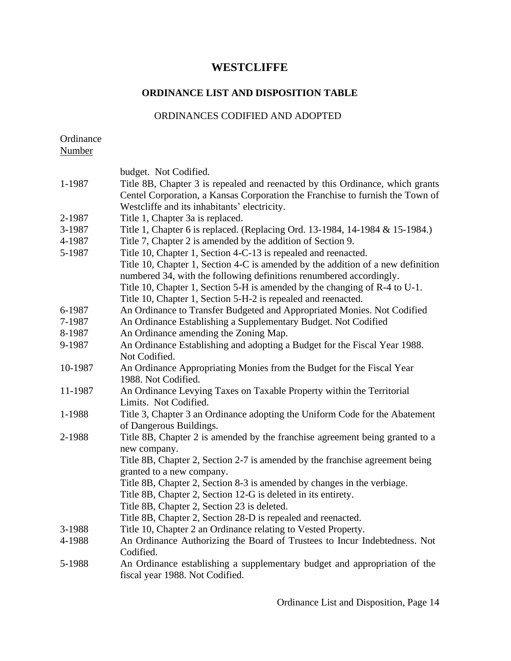## **ORDINANCE LIST AND DISPOSITION TABLE**

### ORDINANCES CODIFIED AND ADOPTED

| Ordinance |  |
|-----------|--|
| Number    |  |

|         | budget. Not Codified.                                                           |
|---------|---------------------------------------------------------------------------------|
| 1-1987  | Title 8B, Chapter 3 is repealed and reenacted by this Ordinance, which grants   |
|         | Centel Corporation, a Kansas Corporation the Franchise to furnish the Town of   |
|         | Westcliffe and its inhabitants' electricity.                                    |
| 2-1987  | Title 1, Chapter 3a is replaced.                                                |
| 3-1987  | Title 1, Chapter 6 is replaced. (Replacing Ord. 13-1984, 14-1984 & 15-1984.)    |
| 4-1987  | Title 7, Chapter 2 is amended by the addition of Section 9.                     |
| 5-1987  | Title 10, Chapter 1, Section 4-C-13 is repealed and reenacted.                  |
|         | Title 10, Chapter 1, Section 4-C is amended by the addition of a new definition |
|         | numbered 34, with the following definitions renumbered accordingly.             |
|         | Title 10, Chapter 1, Section 5-H is amended by the changing of R-4 to U-1.      |
|         | Title 10, Chapter 1, Section 5-H-2 is repealed and reenacted.                   |
| 6-1987  | An Ordinance to Transfer Budgeted and Appropriated Monies. Not Codified         |
| 7-1987  | An Ordinance Establishing a Supplementary Budget. Not Codified                  |
| 8-1987  | An Ordinance amending the Zoning Map.                                           |
| 9-1987  | An Ordinance Establishing and adopting a Budget for the Fiscal Year 1988.       |
|         | Not Codified.                                                                   |
| 10-1987 | An Ordinance Appropriating Monies from the Budget for the Fiscal Year           |
|         | 1988. Not Codified.                                                             |
| 11-1987 | An Ordinance Levying Taxes on Taxable Property within the Territorial           |
|         | Limits. Not Codified.                                                           |
| 1-1988  | Title 3, Chapter 3 an Ordinance adopting the Uniform Code for the Abatement     |
|         | of Dangerous Buildings.                                                         |
| 2-1988  | Title 8B, Chapter 2 is amended by the franchise agreement being granted to a    |
|         | new company.                                                                    |
|         | Title 8B, Chapter 2, Section 2-7 is amended by the franchise agreement being    |
|         | granted to a new company.                                                       |
|         | Title 8B, Chapter 2, Section 8-3 is amended by changes in the verbiage.         |
|         | Title 8B, Chapter 2, Section 12-G is deleted in its entirety.                   |
|         | Title 8B, Chapter 2, Section 23 is deleted.                                     |
|         | Title 8B, Chapter 2, Section 28-D is repealed and reenacted.                    |
| 3-1988  | Title 10, Chapter 2 an Ordinance relating to Vested Property.                   |
| 4-1988  | An Ordinance Authorizing the Board of Trustees to Incur Indebtedness. Not       |
|         | Codified.                                                                       |
| 5-1988  | An Ordinance establishing a supplementary budget and appropriation of the       |
|         | fiscal year 1988. Not Codified.                                                 |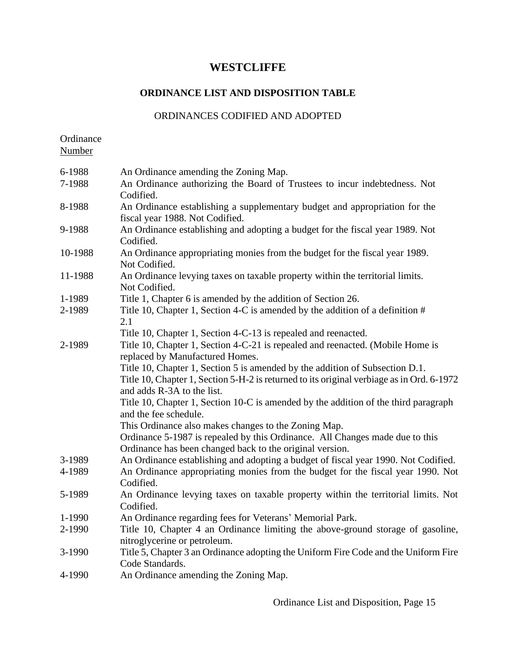## **ORDINANCE LIST AND DISPOSITION TABLE**

#### ORDINANCES CODIFIED AND ADOPTED

Ordinance Number

| 6-1988  | An Ordinance amending the Zoning Map.                                                                                                                                                                   |
|---------|---------------------------------------------------------------------------------------------------------------------------------------------------------------------------------------------------------|
| 7-1988  | An Ordinance authorizing the Board of Trustees to incur indebtedness. Not<br>Codified.                                                                                                                  |
| 8-1988  | An Ordinance establishing a supplementary budget and appropriation for the<br>fiscal year 1988. Not Codified.                                                                                           |
| 9-1988  | An Ordinance establishing and adopting a budget for the fiscal year 1989. Not<br>Codified.                                                                                                              |
| 10-1988 | An Ordinance appropriating monies from the budget for the fiscal year 1989.<br>Not Codified.                                                                                                            |
| 11-1988 | An Ordinance levying taxes on taxable property within the territorial limits.<br>Not Codified.                                                                                                          |
| 1-1989  | Title 1, Chapter 6 is amended by the addition of Section 26.                                                                                                                                            |
| 2-1989  | Title 10, Chapter 1, Section 4-C is amended by the addition of a definition #<br>2.1                                                                                                                    |
|         | Title 10, Chapter 1, Section 4-C-13 is repealed and reenacted.                                                                                                                                          |
| 2-1989  | Title 10, Chapter 1, Section 4-C-21 is repealed and reenacted. (Mobile Home is<br>replaced by Manufactured Homes.                                                                                       |
|         | Title 10, Chapter 1, Section 5 is amended by the addition of Subsection D.1.<br>Title 10, Chapter 1, Section 5-H-2 is returned to its original verbiage as in Ord. 6-1972<br>and adds R-3A to the list. |
|         | Title 10, Chapter 1, Section 10-C is amended by the addition of the third paragraph<br>and the fee schedule.                                                                                            |
|         | This Ordinance also makes changes to the Zoning Map.                                                                                                                                                    |
|         | Ordinance 5-1987 is repealed by this Ordinance. All Changes made due to this                                                                                                                            |
|         | Ordinance has been changed back to the original version.                                                                                                                                                |
| 3-1989  | An Ordinance establishing and adopting a budget of fiscal year 1990. Not Codified.                                                                                                                      |
| 4-1989  | An Ordinance appropriating monies from the budget for the fiscal year 1990. Not<br>Codified.                                                                                                            |
| 5-1989  | An Ordinance levying taxes on taxable property within the territorial limits. Not<br>Codified.                                                                                                          |
| 1-1990  | An Ordinance regarding fees for Veterans' Memorial Park.                                                                                                                                                |
| 2-1990  | Title 10, Chapter 4 an Ordinance limiting the above-ground storage of gasoline,<br>nitroglycerine or petroleum.                                                                                         |
| 3-1990  | Title 5, Chapter 3 an Ordinance adopting the Uniform Fire Code and the Uniform Fire<br>Code Standards.                                                                                                  |
| 4-1990  | An Ordinance amending the Zoning Map.                                                                                                                                                                   |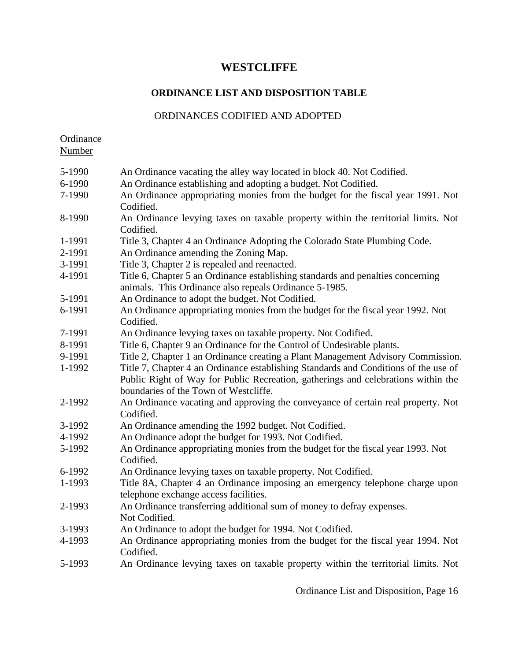## **ORDINANCE LIST AND DISPOSITION TABLE**

### ORDINANCES CODIFIED AND ADOPTED

Ordinance Number

| 5-1990 | An Ordinance vacating the alley way located in block 40. Not Codified.                       |
|--------|----------------------------------------------------------------------------------------------|
| 6-1990 | An Ordinance establishing and adopting a budget. Not Codified.                               |
| 7-1990 | An Ordinance appropriating monies from the budget for the fiscal year 1991. Not              |
|        | Codified.                                                                                    |
| 8-1990 | An Ordinance levying taxes on taxable property within the territorial limits. Not            |
|        | Codified.                                                                                    |
| 1-1991 | Title 3, Chapter 4 an Ordinance Adopting the Colorado State Plumbing Code.                   |
| 2-1991 | An Ordinance amending the Zoning Map.                                                        |
| 3-1991 | Title 3, Chapter 2 is repealed and reenacted.                                                |
| 4-1991 | Title 6, Chapter 5 an Ordinance establishing standards and penalties concerning              |
|        | animals. This Ordinance also repeals Ordinance 5-1985.                                       |
| 5-1991 | An Ordinance to adopt the budget. Not Codified.                                              |
| 6-1991 | An Ordinance appropriating monies from the budget for the fiscal year 1992. Not<br>Codified. |
| 7-1991 | An Ordinance levying taxes on taxable property. Not Codified.                                |
| 8-1991 | Title 6, Chapter 9 an Ordinance for the Control of Undesirable plants.                       |
| 9-1991 | Title 2, Chapter 1 an Ordinance creating a Plant Management Advisory Commission.             |
| 1-1992 | Title 7, Chapter 4 an Ordinance establishing Standards and Conditions of the use of          |
|        | Public Right of Way for Public Recreation, gatherings and celebrations within the            |
|        | boundaries of the Town of Westcliffe.                                                        |
| 2-1992 | An Ordinance vacating and approving the conveyance of certain real property. Not             |
|        | Codified.                                                                                    |
| 3-1992 | An Ordinance amending the 1992 budget. Not Codified.                                         |
| 4-1992 | An Ordinance adopt the budget for 1993. Not Codified.                                        |
| 5-1992 | An Ordinance appropriating monies from the budget for the fiscal year 1993. Not              |
|        | Codified.                                                                                    |
| 6-1992 | An Ordinance levying taxes on taxable property. Not Codified.                                |
| 1-1993 | Title 8A, Chapter 4 an Ordinance imposing an emergency telephone charge upon                 |
|        | telephone exchange access facilities.                                                        |
| 2-1993 | An Ordinance transferring additional sum of money to defray expenses.                        |
|        | Not Codified.                                                                                |
| 3-1993 | An Ordinance to adopt the budget for 1994. Not Codified.                                     |
| 4-1993 | An Ordinance appropriating monies from the budget for the fiscal year 1994. Not<br>Codified. |
| 5-1993 | An Ordinance levying taxes on taxable property within the territorial limits. Not            |
|        |                                                                                              |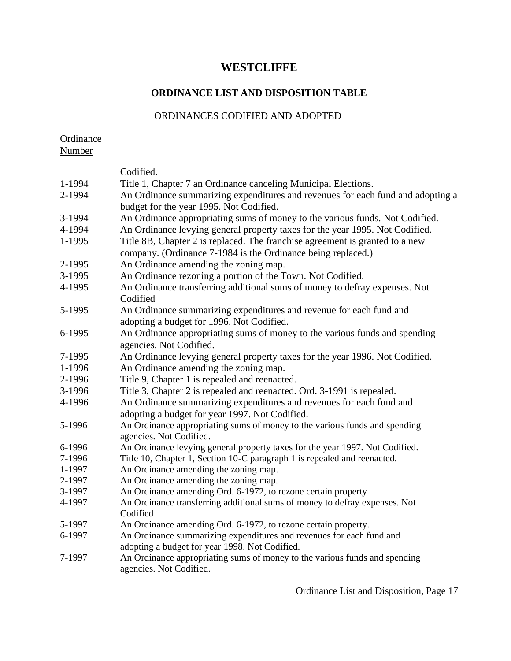## **ORDINANCE LIST AND DISPOSITION TABLE**

### ORDINANCES CODIFIED AND ADOPTED

**Ordinance** Number

|        | Codified.                                                                                                                                    |
|--------|----------------------------------------------------------------------------------------------------------------------------------------------|
| 1-1994 | Title 1, Chapter 7 an Ordinance canceling Municipal Elections.                                                                               |
| 2-1994 | An Ordinance summarizing expenditures and revenues for each fund and adopting a                                                              |
|        | budget for the year 1995. Not Codified.                                                                                                      |
| 3-1994 | An Ordinance appropriating sums of money to the various funds. Not Codified.                                                                 |
| 4-1994 | An Ordinance levying general property taxes for the year 1995. Not Codified.                                                                 |
| 1-1995 | Title 8B, Chapter 2 is replaced. The franchise agreement is granted to a new<br>company. (Ordinance 7-1984 is the Ordinance being replaced.) |
| 2-1995 | An Ordinance amending the zoning map.                                                                                                        |
| 3-1995 | An Ordinance rezoning a portion of the Town. Not Codified.                                                                                   |
| 4-1995 | An Ordinance transferring additional sums of money to defray expenses. Not<br>Codified                                                       |
| 5-1995 | An Ordinance summarizing expenditures and revenue for each fund and                                                                          |
|        | adopting a budget for 1996. Not Codified.                                                                                                    |
| 6-1995 | An Ordinance appropriating sums of money to the various funds and spending<br>agencies. Not Codified.                                        |
| 7-1995 | An Ordinance levying general property taxes for the year 1996. Not Codified.                                                                 |
| 1-1996 | An Ordinance amending the zoning map.                                                                                                        |
| 2-1996 | Title 9, Chapter 1 is repealed and reenacted.                                                                                                |
| 3-1996 | Title 3, Chapter 2 is repealed and reenacted. Ord. 3-1991 is repealed.                                                                       |
| 4-1996 | An Ordinance summarizing expenditures and revenues for each fund and                                                                         |
|        | adopting a budget for year 1997. Not Codified.                                                                                               |
| 5-1996 | An Ordinance appropriating sums of money to the various funds and spending<br>agencies. Not Codified.                                        |
| 6-1996 | An Ordinance levying general property taxes for the year 1997. Not Codified.                                                                 |
| 7-1996 | Title 10, Chapter 1, Section 10-C paragraph 1 is repealed and reenacted.                                                                     |
| 1-1997 | An Ordinance amending the zoning map.                                                                                                        |
| 2-1997 | An Ordinance amending the zoning map.                                                                                                        |
| 3-1997 | An Ordinance amending Ord. 6-1972, to rezone certain property                                                                                |
| 4-1997 | An Ordinance transferring additional sums of money to defray expenses. Not<br>Codified                                                       |
| 5-1997 | An Ordinance amending Ord. 6-1972, to rezone certain property.                                                                               |
| 6-1997 | An Ordinance summarizing expenditures and revenues for each fund and                                                                         |
|        | adopting a budget for year 1998. Not Codified.                                                                                               |
| 7-1997 | An Ordinance appropriating sums of money to the various funds and spending<br>agencies. Not Codified.                                        |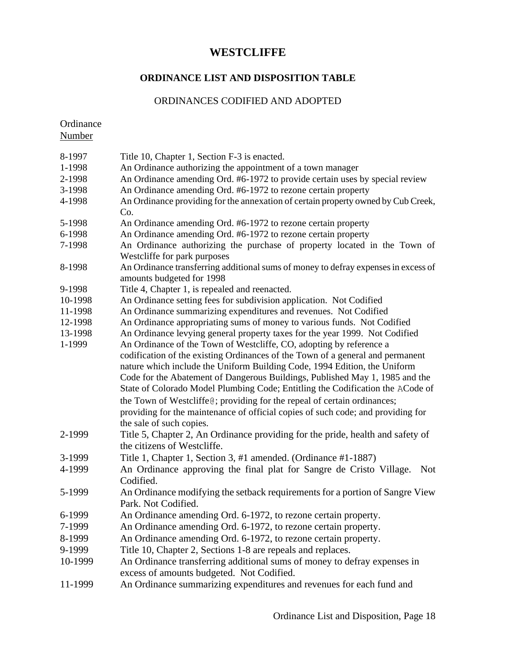#### **ORDINANCE LIST AND DISPOSITION TABLE**

#### ORDINANCES CODIFIED AND ADOPTED

**Ordinance** Number 8-1997 Title 10, Chapter 1, Section F-3 is enacted. 1-1998 An Ordinance authorizing the appointment of a town manager 2-1998 An Ordinance amending Ord. #6-1972 to provide certain uses by special review 3-1998 An Ordinance amending Ord. #6-1972 to rezone certain property 4-1998 An Ordinance providing for the annexation of certain property owned by Cub Creek, Co. 5-1998 An Ordinance amending Ord. #6-1972 to rezone certain property 6-1998 An Ordinance amending Ord. #6-1972 to rezone certain property 7-1998 An Ordinance authorizing the purchase of property located in the Town of Westcliffe for park purposes 8-1998 An Ordinance transferring additional sums of money to defray expenses in excess of amounts budgeted for 1998 9-1998 Title 4, Chapter 1, is repealed and reenacted. 10-1998 An Ordinance setting fees for subdivision application. Not Codified 11-1998 An Ordinance summarizing expenditures and revenues. Not Codified 12-1998 An Ordinance appropriating sums of money to various funds. Not Codified 13-1998 An Ordinance levying general property taxes for the year 1999. Not Codified 1-1999 An Ordinance of the Town of Westcliffe, CO, adopting by reference a codification of the existing Ordinances of the Town of a general and permanent nature which include the Uniform Building Code, 1994 Edition, the Uniform Code for the Abatement of Dangerous Buildings, Published May 1, 1985 and the State of Colorado Model Plumbing Code; Entitling the Codification the ACode of the Town of Westcliffe@; providing for the repeal of certain ordinances; providing for the maintenance of official copies of such code; and providing for the sale of such copies. 2-1999 Title 5, Chapter 2, An Ordinance providing for the pride, health and safety of the citizens of Westcliffe. 3-1999 Title 1, Chapter 1, Section 3, #1 amended. (Ordinance #1-1887) 4-1999 An Ordinance approving the final plat for Sangre de Cristo Village. Not Codified. 5-1999 An Ordinance modifying the setback requirements for a portion of Sangre View Park. Not Codified. 6-1999 An Ordinance amending Ord. 6-1972, to rezone certain property. 7-1999 An Ordinance amending Ord. 6-1972, to rezone certain property. 8-1999 An Ordinance amending Ord. 6-1972, to rezone certain property. 9-1999 Title 10, Chapter 2, Sections 1-8 are repeals and replaces. 10-1999 An Ordinance transferring additional sums of money to defray expenses in excess of amounts budgeted. Not Codified. 11-1999 An Ordinance summarizing expenditures and revenues for each fund and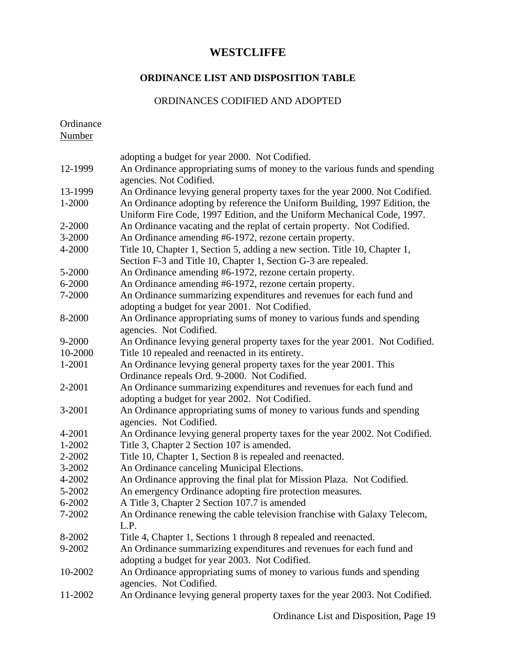## **ORDINANCE LIST AND DISPOSITION TABLE**

### ORDINANCES CODIFIED AND ADOPTED

Ordinance Number

|         | adopting a budget for year 2000. Not Codified.                                                                                                        |
|---------|-------------------------------------------------------------------------------------------------------------------------------------------------------|
| 12-1999 | An Ordinance appropriating sums of money to the various funds and spending<br>agencies. Not Codified.                                                 |
| 13-1999 | An Ordinance levying general property taxes for the year 2000. Not Codified.                                                                          |
| 1-2000  | An Ordinance adopting by reference the Uniform Building, 1997 Edition, the<br>Uniform Fire Code, 1997 Edition, and the Uniform Mechanical Code, 1997. |
| 2-2000  | An Ordinance vacating and the replat of certain property. Not Codified.                                                                               |
| 3-2000  | An Ordinance amending #6-1972, rezone certain property.                                                                                               |
| 4-2000  | Title 10, Chapter 1, Section 5, adding a new section. Title 10, Chapter 1,                                                                            |
|         | Section F-3 and Title 10, Chapter 1, Section G-3 are repealed.                                                                                        |
| 5-2000  | An Ordinance amending #6-1972, rezone certain property.                                                                                               |
| 6-2000  | An Ordinance amending #6-1972, rezone certain property.                                                                                               |
| 7-2000  | An Ordinance summarizing expenditures and revenues for each fund and                                                                                  |
|         | adopting a budget for year 2001. Not Codified.                                                                                                        |
| 8-2000  | An Ordinance appropriating sums of money to various funds and spending<br>agencies. Not Codified.                                                     |
| 9-2000  | An Ordinance levying general property taxes for the year 2001. Not Codified.                                                                          |
| 10-2000 | Title 10 repealed and reenacted in its entirety.                                                                                                      |
| 1-2001  | An Ordinance levying general property taxes for the year 2001. This                                                                                   |
|         | Ordinance repeals Ord. 9-2000. Not Codified.                                                                                                          |
| 2-2001  | An Ordinance summarizing expenditures and revenues for each fund and<br>adopting a budget for year 2002. Not Codified.                                |
| 3-2001  | An Ordinance appropriating sums of money to various funds and spending                                                                                |
|         | agencies. Not Codified.                                                                                                                               |
| 4-2001  | An Ordinance levying general property taxes for the year 2002. Not Codified.                                                                          |
| 1-2002  | Title 3, Chapter 2 Section 107 is amended.                                                                                                            |
| 2-2002  | Title 10, Chapter 1, Section 8 is repealed and reenacted.                                                                                             |
| 3-2002  | An Ordinance canceling Municipal Elections.                                                                                                           |
| 4-2002  |                                                                                                                                                       |
|         | An Ordinance approving the final plat for Mission Plaza. Not Codified.                                                                                |
| 5-2002  | An emergency Ordinance adopting fire protection measures.                                                                                             |
| 6-2002  | A Title 3, Chapter 2 Section 107.7 is amended                                                                                                         |
| 7-2002  | An Ordinance renewing the cable television franchise with Galaxy Telecom,<br>L.P.                                                                     |
| 8-2002  | Title 4, Chapter 1, Sections 1 through 8 repealed and reenacted.                                                                                      |
| 9-2002  | An Ordinance summarizing expenditures and revenues for each fund and                                                                                  |
|         | adopting a budget for year 2003. Not Codified.                                                                                                        |
| 10-2002 | An Ordinance appropriating sums of money to various funds and spending                                                                                |
|         | agencies. Not Codified.                                                                                                                               |
| 11-2002 | An Ordinance levying general property taxes for the year 2003. Not Codified.                                                                          |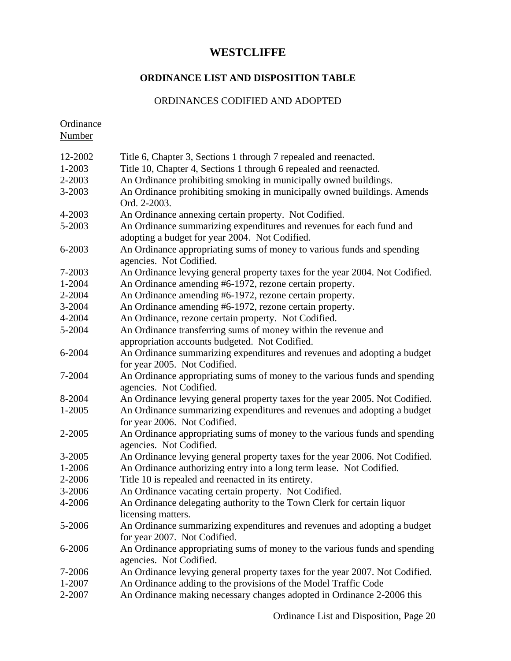## **ORDINANCE LIST AND DISPOSITION TABLE**

### ORDINANCES CODIFIED AND ADOPTED

Ordinance Number

| 12-2002    | Title 6, Chapter 3, Sections 1 through 7 repealed and reenacted.                                                       |
|------------|------------------------------------------------------------------------------------------------------------------------|
| 1-2003     | Title 10, Chapter 4, Sections 1 through 6 repealed and reenacted.                                                      |
| 2-2003     | An Ordinance prohibiting smoking in municipally owned buildings.                                                       |
| 3-2003     | An Ordinance prohibiting smoking in municipally owned buildings. Amends<br>Ord. 2-2003.                                |
| 4-2003     | An Ordinance annexing certain property. Not Codified.                                                                  |
| 5-2003     | An Ordinance summarizing expenditures and revenues for each fund and<br>adopting a budget for year 2004. Not Codified. |
| 6-2003     | An Ordinance appropriating sums of money to various funds and spending<br>agencies. Not Codified.                      |
| 7-2003     | An Ordinance levying general property taxes for the year 2004. Not Codified.                                           |
| 1-2004     | An Ordinance amending #6-1972, rezone certain property.                                                                |
| 2-2004     | An Ordinance amending #6-1972, rezone certain property.                                                                |
| 3-2004     | An Ordinance amending #6-1972, rezone certain property.                                                                |
| 4-2004     | An Ordinance, rezone certain property. Not Codified.                                                                   |
| 5-2004     | An Ordinance transferring sums of money within the revenue and<br>appropriation accounts budgeted. Not Codified.       |
| 6-2004     | An Ordinance summarizing expenditures and revenues and adopting a budget                                               |
|            | for year 2005. Not Codified.                                                                                           |
| 7-2004     | An Ordinance appropriating sums of money to the various funds and spending<br>agencies. Not Codified.                  |
| 8-2004     | An Ordinance levying general property taxes for the year 2005. Not Codified.                                           |
| 1-2005     | An Ordinance summarizing expenditures and revenues and adopting a budget<br>for year 2006. Not Codified.               |
| 2-2005     | An Ordinance appropriating sums of money to the various funds and spending<br>agencies. Not Codified.                  |
| $3 - 2005$ | An Ordinance levying general property taxes for the year 2006. Not Codified.                                           |
| 1-2006     | An Ordinance authorizing entry into a long term lease. Not Codified.                                                   |
| 2-2006     | Title 10 is repealed and reenacted in its entirety.                                                                    |
| 3-2006     | An Ordinance vacating certain property. Not Codified.                                                                  |
| 4-2006     | An Ordinance delegating authority to the Town Clerk for certain liquor<br>licensing matters.                           |
| 5-2006     | An Ordinance summarizing expenditures and revenues and adopting a budget<br>for year 2007. Not Codified.               |
| 6-2006     | An Ordinance appropriating sums of money to the various funds and spending<br>agencies. Not Codified.                  |
| 7-2006     | An Ordinance levying general property taxes for the year 2007. Not Codified.                                           |
| 1-2007     | An Ordinance adding to the provisions of the Model Traffic Code                                                        |
| 2-2007     | An Ordinance making necessary changes adopted in Ordinance 2-2006 this                                                 |
|            |                                                                                                                        |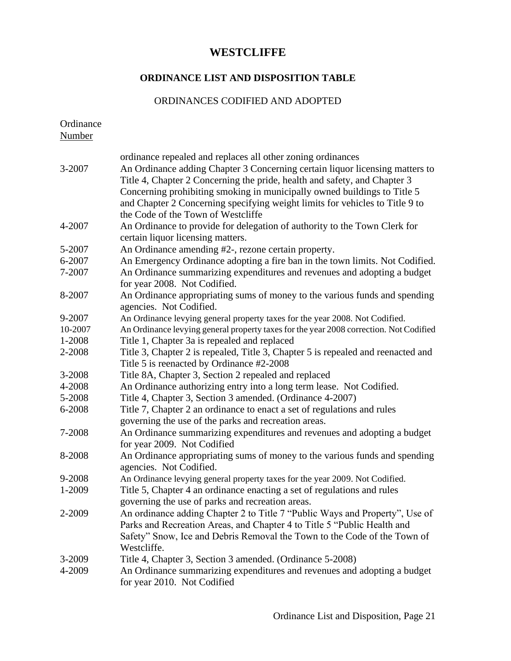# **ORDINANCE LIST AND DISPOSITION TABLE**

### ORDINANCES CODIFIED AND ADOPTED

| Ordinance<br>Number |                                                                                                                                                                                                                                                                                                                                                                                                                            |
|---------------------|----------------------------------------------------------------------------------------------------------------------------------------------------------------------------------------------------------------------------------------------------------------------------------------------------------------------------------------------------------------------------------------------------------------------------|
| 3-2007              | ordinance repealed and replaces all other zoning ordinances<br>An Ordinance adding Chapter 3 Concerning certain liquor licensing matters to<br>Title 4, Chapter 2 Concerning the pride, health and safety, and Chapter 3<br>Concerning prohibiting smoking in municipally owned buildings to Title 5<br>and Chapter 2 Concerning specifying weight limits for vehicles to Title 9 to<br>the Code of the Town of Westcliffe |
| 4-2007              | An Ordinance to provide for delegation of authority to the Town Clerk for<br>certain liquor licensing matters.                                                                                                                                                                                                                                                                                                             |
| 5-2007              | An Ordinance amending #2-, rezone certain property.                                                                                                                                                                                                                                                                                                                                                                        |
| 6-2007              | An Emergency Ordinance adopting a fire ban in the town limits. Not Codified.                                                                                                                                                                                                                                                                                                                                               |
| 7-2007              | An Ordinance summarizing expenditures and revenues and adopting a budget<br>for year 2008. Not Codified.                                                                                                                                                                                                                                                                                                                   |
| 8-2007              | An Ordinance appropriating sums of money to the various funds and spending<br>agencies. Not Codified.                                                                                                                                                                                                                                                                                                                      |
| 9-2007              | An Ordinance levying general property taxes for the year 2008. Not Codified.                                                                                                                                                                                                                                                                                                                                               |
| 10-2007             | An Ordinance levying general property taxes for the year 2008 correction. Not Codified                                                                                                                                                                                                                                                                                                                                     |
| 1-2008              | Title 1, Chapter 3a is repealed and replaced                                                                                                                                                                                                                                                                                                                                                                               |
| 2-2008              | Title 3, Chapter 2 is repealed, Title 3, Chapter 5 is repealed and reenacted and<br>Title 5 is reenacted by Ordinance #2-2008                                                                                                                                                                                                                                                                                              |
| 3-2008              | Title 8A, Chapter 3, Section 2 repealed and replaced                                                                                                                                                                                                                                                                                                                                                                       |
| 4-2008              | An Ordinance authorizing entry into a long term lease. Not Codified.                                                                                                                                                                                                                                                                                                                                                       |
| 5-2008              | Title 4, Chapter 3, Section 3 amended. (Ordinance 4-2007)                                                                                                                                                                                                                                                                                                                                                                  |
| 6-2008              | Title 7, Chapter 2 an ordinance to enact a set of regulations and rules<br>governing the use of the parks and recreation areas.                                                                                                                                                                                                                                                                                            |
| 7-2008              | An Ordinance summarizing expenditures and revenues and adopting a budget<br>for year 2009. Not Codified                                                                                                                                                                                                                                                                                                                    |
| 8-2008              | An Ordinance appropriating sums of money to the various funds and spending<br>agencies. Not Codified.                                                                                                                                                                                                                                                                                                                      |
| 9-2008              | An Ordinance levying general property taxes for the year 2009. Not Codified.                                                                                                                                                                                                                                                                                                                                               |
| 1-2009              | Title 5, Chapter 4 an ordinance enacting a set of regulations and rules<br>governing the use of parks and recreation areas.                                                                                                                                                                                                                                                                                                |
| 2-2009              | An ordinance adding Chapter 2 to Title 7 "Public Ways and Property", Use of<br>Parks and Recreation Areas, and Chapter 4 to Title 5 "Public Health and<br>Safety" Snow, Ice and Debris Removal the Town to the Code of the Town of<br>Westcliffe.                                                                                                                                                                          |
| 3-2009              | Title 4, Chapter 3, Section 3 amended. (Ordinance 5-2008)                                                                                                                                                                                                                                                                                                                                                                  |
| 4-2009              | An Ordinance summarizing expenditures and revenues and adopting a budget<br>for year 2010. Not Codified                                                                                                                                                                                                                                                                                                                    |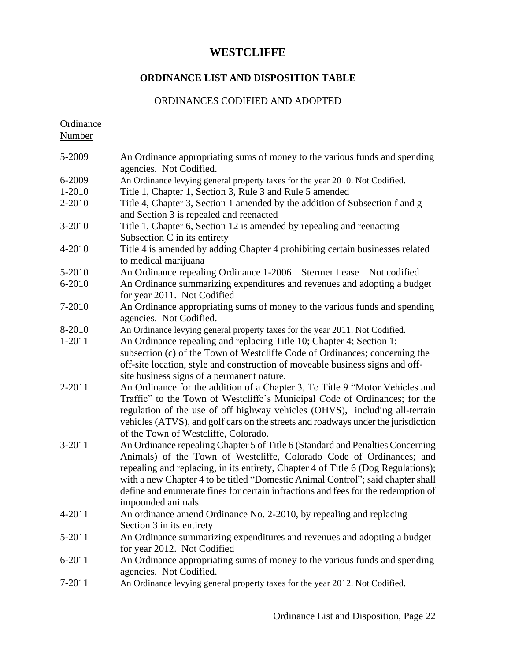#### **ORDINANCE LIST AND DISPOSITION TABLE**

#### ORDINANCES CODIFIED AND ADOPTED

**Ordinance** Number

5-2009 An Ordinance appropriating sums of money to the various funds and spending agencies. Not Codified. 6-2009 An Ordinance levying general property taxes for the year 2010. Not Codified. 1-2010 Title 1, Chapter 1, Section 3, Rule 3 and Rule 5 amended 2-2010 Title 4, Chapter 3, Section 1 amended by the addition of Subsection f and g and Section 3 is repealed and reenacted 3-2010 Title 1, Chapter 6, Section 12 is amended by repealing and reenacting Subsection C in its entirety 4-2010 Title 4 is amended by adding Chapter 4 prohibiting certain businesses related to medical marijuana 5-2010 An Ordinance repealing Ordinance 1-2006 – Stermer Lease – Not codified 6-2010 An Ordinance summarizing expenditures and revenues and adopting a budget for year 2011. Not Codified 7-2010 An Ordinance appropriating sums of money to the various funds and spending agencies. Not Codified. 8-2010 An Ordinance levying general property taxes for the year 2011. Not Codified. 1-2011 An Ordinance repealing and replacing Title 10; Chapter 4; Section 1; subsection (c) of the Town of Westcliffe Code of Ordinances; concerning the off-site location, style and construction of moveable business signs and offsite business signs of a permanent nature. 2-2011 An Ordinance for the addition of a Chapter 3, To Title 9 "Motor Vehicles and Traffic" to the Town of Westcliffe's Municipal Code of Ordinances; for the regulation of the use of off highway vehicles (OHVS), including all-terrain vehicles (ATVS), and golf cars on the streets and roadways under the jurisdiction of the Town of Westcliffe, Colorado. 3-2011 An Ordinance repealing Chapter 5 of Title 6 (Standard and Penalties Concerning Animals) of the Town of Westcliffe, Colorado Code of Ordinances; and repealing and replacing, in its entirety, Chapter 4 of Title 6 (Dog Regulations); with a new Chapter 4 to be titled "Domestic Animal Control"; said chapter shall define and enumerate fines for certain infractions and fees for the redemption of impounded animals. 4-2011 An ordinance amend Ordinance No. 2-2010, by repealing and replacing Section 3 in its entirety 5-2011 An Ordinance summarizing expenditures and revenues and adopting a budget for year 2012. Not Codified 6-2011 An Ordinance appropriating sums of money to the various funds and spending agencies. Not Codified. 7-2011 An Ordinance levying general property taxes for the year 2012. Not Codified.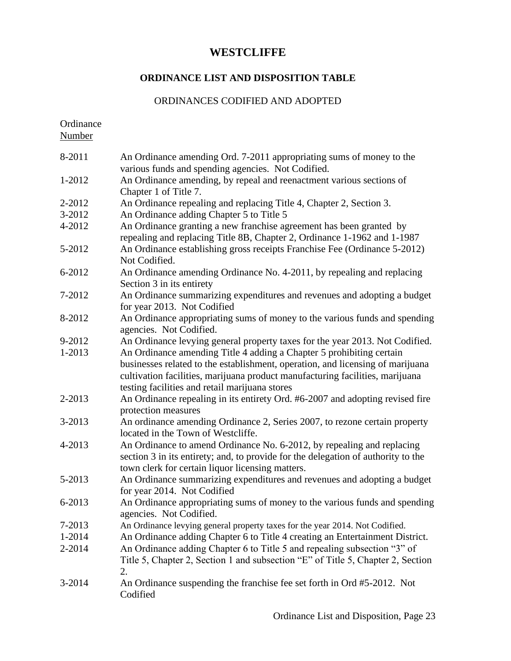## **ORDINANCE LIST AND DISPOSITION TABLE**

### ORDINANCES CODIFIED AND ADOPTED

Ordinance

Number

| 8-2011 | An Ordinance amending Ord. 7-2011 appropriating sums of money to the<br>various funds and spending agencies. Not Codified.                                                                                                                                                                |
|--------|-------------------------------------------------------------------------------------------------------------------------------------------------------------------------------------------------------------------------------------------------------------------------------------------|
| 1-2012 | An Ordinance amending, by repeal and reenactment various sections of                                                                                                                                                                                                                      |
|        | Chapter 1 of Title 7.                                                                                                                                                                                                                                                                     |
| 2-2012 | An Ordinance repealing and replacing Title 4, Chapter 2, Section 3.                                                                                                                                                                                                                       |
| 3-2012 | An Ordinance adding Chapter 5 to Title 5                                                                                                                                                                                                                                                  |
| 4-2012 | An Ordinance granting a new franchise agreement has been granted by<br>repealing and replacing Title 8B, Chapter 2, Ordinance 1-1962 and 1-1987                                                                                                                                           |
| 5-2012 | An Ordinance establishing gross receipts Franchise Fee (Ordinance 5-2012)<br>Not Codified.                                                                                                                                                                                                |
| 6-2012 | An Ordinance amending Ordinance No. 4-2011, by repealing and replacing<br>Section 3 in its entirety                                                                                                                                                                                       |
| 7-2012 | An Ordinance summarizing expenditures and revenues and adopting a budget<br>for year 2013. Not Codified                                                                                                                                                                                   |
| 8-2012 | An Ordinance appropriating sums of money to the various funds and spending<br>agencies. Not Codified.                                                                                                                                                                                     |
| 9-2012 | An Ordinance levying general property taxes for the year 2013. Not Codified.                                                                                                                                                                                                              |
| 1-2013 | An Ordinance amending Title 4 adding a Chapter 5 prohibiting certain<br>businesses related to the establishment, operation, and licensing of marijuana<br>cultivation facilities, marijuana product manufacturing facilities, marijuana<br>testing facilities and retail marijuana stores |
|        |                                                                                                                                                                                                                                                                                           |
| 2-2013 | An Ordinance repealing in its entirety Ord. #6-2007 and adopting revised fire<br>protection measures                                                                                                                                                                                      |
| 3-2013 | An ordinance amending Ordinance 2, Series 2007, to rezone certain property<br>located in the Town of Westcliffe.                                                                                                                                                                          |
| 4-2013 | An Ordinance to amend Ordinance No. 6-2012, by repealing and replacing<br>section 3 in its entirety; and, to provide for the delegation of authority to the<br>town clerk for certain liquor licensing matters.                                                                           |
| 5-2013 | An Ordinance summarizing expenditures and revenues and adopting a budget<br>for year 2014. Not Codified                                                                                                                                                                                   |
| 6-2013 | An Ordinance appropriating sums of money to the various funds and spending<br>agencies. Not Codified.                                                                                                                                                                                     |
| 7-2013 | An Ordinance levying general property taxes for the year 2014. Not Codified.                                                                                                                                                                                                              |
| 1-2014 | An Ordinance adding Chapter 6 to Title 4 creating an Entertainment District.                                                                                                                                                                                                              |
| 2-2014 | An Ordinance adding Chapter 6 to Title 5 and repealing subsection "3" of<br>Title 5, Chapter 2, Section 1 and subsection "E" of Title 5, Chapter 2, Section<br>2.                                                                                                                         |
| 3-2014 | An Ordinance suspending the franchise fee set forth in Ord #5-2012. Not<br>Codified                                                                                                                                                                                                       |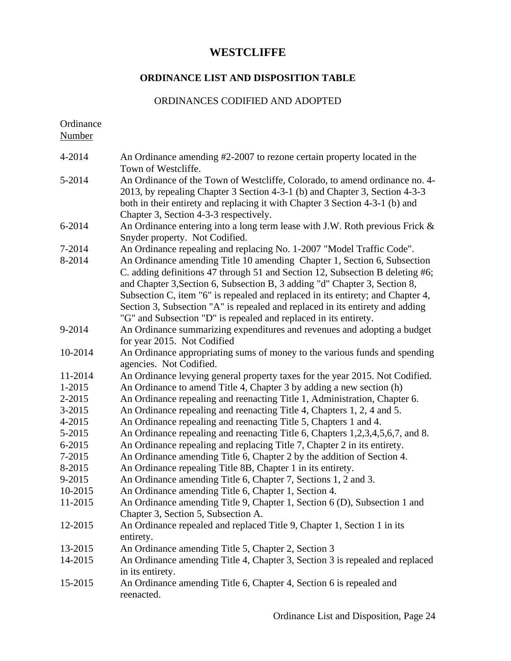# **ORDINANCE LIST AND DISPOSITION TABLE**

## ORDINANCES CODIFIED AND ADOPTED

| Ordinance<br><b>Number</b> |                                                                                                                                                                                                                                                                                                                                                                                                                                                                                 |
|----------------------------|---------------------------------------------------------------------------------------------------------------------------------------------------------------------------------------------------------------------------------------------------------------------------------------------------------------------------------------------------------------------------------------------------------------------------------------------------------------------------------|
| 4-2014                     | An Ordinance amending #2-2007 to rezone certain property located in the<br>Town of Westcliffe.                                                                                                                                                                                                                                                                                                                                                                                  |
| 5-2014                     | An Ordinance of the Town of Westcliffe, Colorado, to amend ordinance no. 4-<br>2013, by repealing Chapter 3 Section 4-3-1 (b) and Chapter 3, Section 4-3-3<br>both in their entirety and replacing it with Chapter 3 Section 4-3-1 (b) and<br>Chapter 3, Section 4-3-3 respectively.                                                                                                                                                                                            |
| 6-2014                     | An Ordinance entering into a long term lease with J.W. Roth previous Frick &<br>Snyder property. Not Codified.                                                                                                                                                                                                                                                                                                                                                                  |
| 7-2014                     | An Ordinance repealing and replacing No. 1-2007 "Model Traffic Code".                                                                                                                                                                                                                                                                                                                                                                                                           |
| 8-2014                     | An Ordinance amending Title 10 amending Chapter 1, Section 6, Subsection<br>C. adding definitions 47 through 51 and Section 12, Subsection B deleting #6;<br>and Chapter 3, Section 6, Subsection B, 3 adding "d" Chapter 3, Section 8,<br>Subsection C, item "6" is repealed and replaced in its entirety; and Chapter 4,<br>Section 3, Subsection "A" is repealed and replaced in its entirety and adding<br>"G" and Subsection "D" is repealed and replaced in its entirety. |
| 9-2014                     | An Ordinance summarizing expenditures and revenues and adopting a budget<br>for year 2015. Not Codified                                                                                                                                                                                                                                                                                                                                                                         |
| 10-2014                    | An Ordinance appropriating sums of money to the various funds and spending<br>agencies. Not Codified.                                                                                                                                                                                                                                                                                                                                                                           |
| 11-2014                    | An Ordinance levying general property taxes for the year 2015. Not Codified.                                                                                                                                                                                                                                                                                                                                                                                                    |
| 1-2015                     | An Ordinance to amend Title 4, Chapter 3 by adding a new section (h)                                                                                                                                                                                                                                                                                                                                                                                                            |
| 2-2015                     | An Ordinance repealing and reenacting Title 1, Administration, Chapter 6.                                                                                                                                                                                                                                                                                                                                                                                                       |
| 3-2015                     | An Ordinance repealing and reenacting Title 4, Chapters 1, 2, 4 and 5.                                                                                                                                                                                                                                                                                                                                                                                                          |
| 4-2015                     | An Ordinance repealing and reenacting Title 5, Chapters 1 and 4.                                                                                                                                                                                                                                                                                                                                                                                                                |
| 5-2015                     | An Ordinance repealing and reenacting Title 6, Chapters 1,2,3,4,5,6,7, and 8.                                                                                                                                                                                                                                                                                                                                                                                                   |
| 6-2015                     | An Ordinance repealing and replacing Title 7, Chapter 2 in its entirety.                                                                                                                                                                                                                                                                                                                                                                                                        |
| 7-2015                     | An Ordinance amending Title 6, Chapter 2 by the addition of Section 4.                                                                                                                                                                                                                                                                                                                                                                                                          |
| 8-2015                     | An Ordinance repealing Title 8B, Chapter 1 in its entirety.                                                                                                                                                                                                                                                                                                                                                                                                                     |
| 9-2015                     | An Ordinance amending Title 6, Chapter 7, Sections 1, 2 and 3.                                                                                                                                                                                                                                                                                                                                                                                                                  |
| 10-2015                    | An Ordinance amending Title 6, Chapter 1, Section 4.                                                                                                                                                                                                                                                                                                                                                                                                                            |
| 11-2015                    | An Ordinance amending Title 9, Chapter 1, Section 6 (D), Subsection 1 and<br>Chapter 3, Section 5, Subsection A.                                                                                                                                                                                                                                                                                                                                                                |
| 12-2015                    | An Ordinance repealed and replaced Title 9, Chapter 1, Section 1 in its<br>entirety.                                                                                                                                                                                                                                                                                                                                                                                            |
| 13-2015                    | An Ordinance amending Title 5, Chapter 2, Section 3                                                                                                                                                                                                                                                                                                                                                                                                                             |
| 14-2015                    | An Ordinance amending Title 4, Chapter 3, Section 3 is repealed and replaced<br>in its entirety.                                                                                                                                                                                                                                                                                                                                                                                |
| 15-2015                    | An Ordinance amending Title 6, Chapter 4, Section 6 is repealed and<br>reenacted.                                                                                                                                                                                                                                                                                                                                                                                               |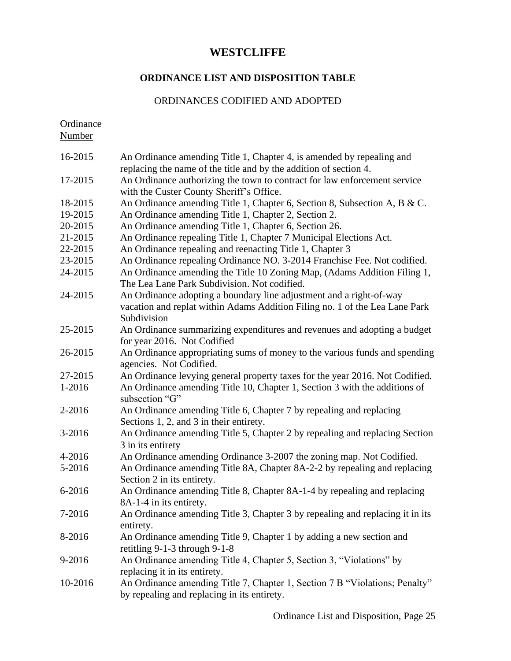#### **ORDINANCE LIST AND DISPOSITION TABLE**

#### ORDINANCES CODIFIED AND ADOPTED

Ordinance Number

16-2015 An Ordinance amending Title 1, Chapter 4, is amended by repealing and replacing the name of the title and by the addition of section 4. 17-2015 An Ordinance authorizing the town to contract for law enforcement service with the Custer County Sheriff's Office. 18-2015 An Ordinance amending Title 1, Chapter 6, Section 8, Subsection A, B & C. 19-2015 An Ordinance amending Title 1, Chapter 2, Section 2. 20-2015 An Ordinance amending Title 1, Chapter 6, Section 26. 21-2015 An Ordinance repealing Title 1, Chapter 7 Municipal Elections Act. 22-2015 An Ordinance repealing and reenacting Title 1, Chapter 3 23-2015 An Ordinance repealing Ordinance NO. 3-2014 Franchise Fee. Not codified. 24-2015 An Ordinance amending the Title 10 Zoning Map, (Adams Addition Filing 1, The Lea Lane Park Subdivision. Not codified. 24-2015 An Ordinance adopting a boundary line adjustment and a right-of-way vacation and replat within Adams Addition Filing no. 1 of the Lea Lane Park Subdivision 25-2015 An Ordinance summarizing expenditures and revenues and adopting a budget for year 2016. Not Codified 26-2015 An Ordinance appropriating sums of money to the various funds and spending agencies. Not Codified. 27-2015 An Ordinance levying general property taxes for the year 2016. Not Codified. 1-2016 An Ordinance amending Title 10, Chapter 1, Section 3 with the additions of subsection "G" 2-2016 An Ordinance amending Title 6, Chapter 7 by repealing and replacing Sections 1, 2, and 3 in their entirety. 3-2016 An Ordinance amending Title 5, Chapter 2 by repealing and replacing Section 3 in its entirety 4-2016 An Ordinance amending Ordinance 3-2007 the zoning map. Not Codified. 5-2016 An Ordinance amending Title 8A, Chapter 8A-2-2 by repealing and replacing Section 2 in its entirety. 6-2016 An Ordinance amending Title 8, Chapter 8A-1-4 by repealing and replacing 8A-1-4 in its entirety. 7-2016 An Ordinance amending Title 3, Chapter 3 by repealing and replacing it in its entirety. 8-2016 An Ordinance amending Title 9, Chapter 1 by adding a new section and retitling 9-1-3 through 9-1-8 9-2016 An Ordinance amending Title 4, Chapter 5, Section 3, "Violations" by replacing it in its entirety. 10-2016 An Ordinance amending Title 7, Chapter 1, Section 7 B "Violations; Penalty" by repealing and replacing in its entirety.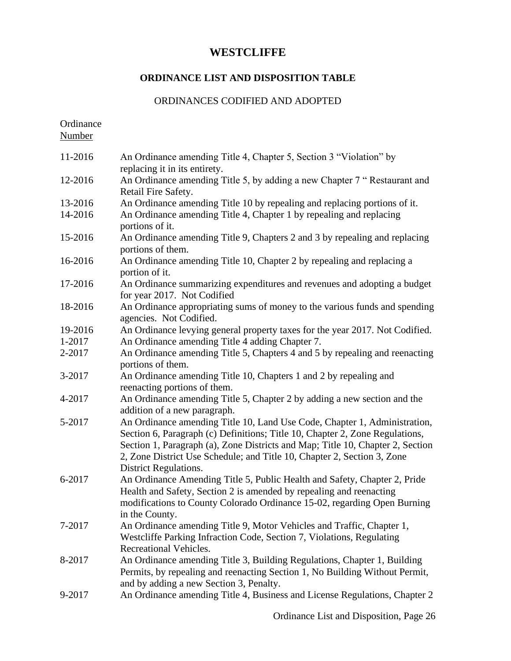#### **ORDINANCE LIST AND DISPOSITION TABLE**

#### ORDINANCES CODIFIED AND ADOPTED

**Ordinance** Number 11-2016 An Ordinance amending Title 4, Chapter 5, Section 3 "Violation" by replacing it in its entirety. 12-2016 An Ordinance amending Title 5, by adding a new Chapter 7 " Restaurant and Retail Fire Safety. 13-2016 An Ordinance amending Title 10 by repealing and replacing portions of it. 14-2016 An Ordinance amending Title 4, Chapter 1 by repealing and replacing portions of it. 15-2016 An Ordinance amending Title 9, Chapters 2 and 3 by repealing and replacing portions of them. 16-2016 An Ordinance amending Title 10, Chapter 2 by repealing and replacing a portion of it. 17-2016 An Ordinance summarizing expenditures and revenues and adopting a budget for year 2017. Not Codified 18-2016 An Ordinance appropriating sums of money to the various funds and spending agencies. Not Codified. 19-2016 An Ordinance levying general property taxes for the year 2017. Not Codified. 1-2017 An Ordinance amending Title 4 adding Chapter 7. 2-2017 An Ordinance amending Title 5, Chapters 4 and 5 by repealing and reenacting portions of them. 3-2017 An Ordinance amending Title 10, Chapters 1 and 2 by repealing and reenacting portions of them. 4-2017 An Ordinance amending Title 5, Chapter 2 by adding a new section and the addition of a new paragraph. 5-2017 An Ordinance amending Title 10, Land Use Code, Chapter 1, Administration, Section 6, Paragraph (c) Definitions; Title 10, Chapter 2, Zone Regulations, Section 1, Paragraph (a), Zone Districts and Map; Title 10, Chapter 2, Section 2, Zone District Use Schedule; and Title 10, Chapter 2, Section 3, Zone District Regulations. 6-2017 An Ordinance Amending Title 5, Public Health and Safety, Chapter 2, Pride Health and Safety, Section 2 is amended by repealing and reenacting modifications to County Colorado Ordinance 15-02, regarding Open Burning in the County. 7-2017 An Ordinance amending Title 9, Motor Vehicles and Traffic, Chapter 1, Westcliffe Parking Infraction Code, Section 7, Violations, Regulating Recreational Vehicles. 8-2017 An Ordinance amending Title 3, Building Regulations, Chapter 1, Building Permits, by repealing and reenacting Section 1, No Building Without Permit, and by adding a new Section 3, Penalty. 9-2017 An Ordinance amending Title 4, Business and License Regulations, Chapter 2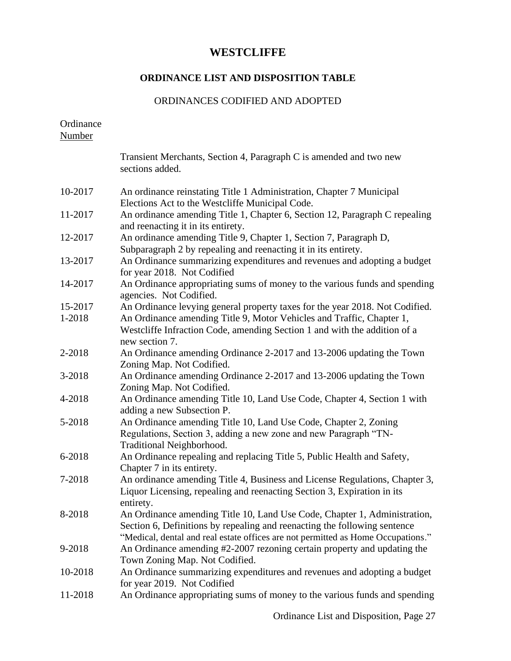## **ORDINANCE LIST AND DISPOSITION TABLE**

## ORDINANCES CODIFIED AND ADOPTED

Ordinance Number

|         | Transient Merchants, Section 4, Paragraph C is amended and two new<br>sections added.                                                                                                                                                      |
|---------|--------------------------------------------------------------------------------------------------------------------------------------------------------------------------------------------------------------------------------------------|
| 10-2017 | An ordinance reinstating Title 1 Administration, Chapter 7 Municipal<br>Elections Act to the Westcliffe Municipal Code.                                                                                                                    |
| 11-2017 | An ordinance amending Title 1, Chapter 6, Section 12, Paragraph C repealing<br>and reenacting it in its entirety.                                                                                                                          |
| 12-2017 | An ordinance amending Title 9, Chapter 1, Section 7, Paragraph D,<br>Subparagraph 2 by repealing and reenacting it in its entirety.                                                                                                        |
| 13-2017 | An Ordinance summarizing expenditures and revenues and adopting a budget<br>for year 2018. Not Codified                                                                                                                                    |
| 14-2017 | An Ordinance appropriating sums of money to the various funds and spending<br>agencies. Not Codified.                                                                                                                                      |
| 15-2017 | An Ordinance levying general property taxes for the year 2018. Not Codified.                                                                                                                                                               |
| 1-2018  | An Ordinance amending Title 9, Motor Vehicles and Traffic, Chapter 1,<br>Westcliffe Infraction Code, amending Section 1 and with the addition of a<br>new section 7.                                                                       |
| 2-2018  | An Ordinance amending Ordinance 2-2017 and 13-2006 updating the Town<br>Zoning Map. Not Codified.                                                                                                                                          |
| 3-2018  | An Ordinance amending Ordinance 2-2017 and 13-2006 updating the Town<br>Zoning Map. Not Codified.                                                                                                                                          |
| 4-2018  | An Ordinance amending Title 10, Land Use Code, Chapter 4, Section 1 with<br>adding a new Subsection P.                                                                                                                                     |
| 5-2018  | An Ordinance amending Title 10, Land Use Code, Chapter 2, Zoning<br>Regulations, Section 3, adding a new zone and new Paragraph "TN-<br>Traditional Neighborhood.                                                                          |
| 6-2018  | An Ordinance repealing and replacing Title 5, Public Health and Safety,<br>Chapter 7 in its entirety.                                                                                                                                      |
| 7-2018  | An ordinance amending Title 4, Business and License Regulations, Chapter 3,<br>Liquor Licensing, repealing and reenacting Section 3, Expiration in its<br>entirety.                                                                        |
| 8-2018  | An Ordinance amending Title 10, Land Use Code, Chapter 1, Administration,<br>Section 6, Definitions by repealing and reenacting the following sentence<br>"Medical, dental and real estate offices are not permitted as Home Occupations." |
| 9-2018  | An Ordinance amending #2-2007 rezoning certain property and updating the<br>Town Zoning Map. Not Codified.                                                                                                                                 |
| 10-2018 | An Ordinance summarizing expenditures and revenues and adopting a budget<br>for year 2019. Not Codified                                                                                                                                    |
| 11-2018 | An Ordinance appropriating sums of money to the various funds and spending                                                                                                                                                                 |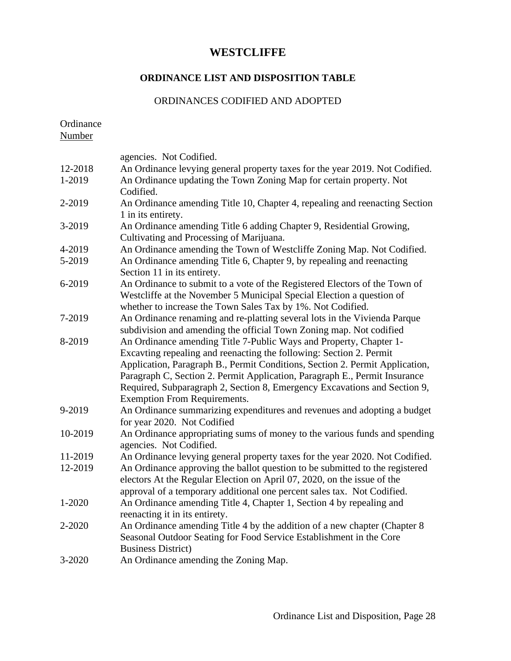# **ORDINANCE LIST AND DISPOSITION TABLE**

## ORDINANCES CODIFIED AND ADOPTED

| Ordinance<br><b>Number</b> |                                                                                                                                                                                                                                                                                                                                                                                                                            |
|----------------------------|----------------------------------------------------------------------------------------------------------------------------------------------------------------------------------------------------------------------------------------------------------------------------------------------------------------------------------------------------------------------------------------------------------------------------|
|                            | agencies. Not Codified.                                                                                                                                                                                                                                                                                                                                                                                                    |
| 12-2018                    | An Ordinance levying general property taxes for the year 2019. Not Codified.                                                                                                                                                                                                                                                                                                                                               |
| 1-2019                     | An Ordinance updating the Town Zoning Map for certain property. Not<br>Codified.                                                                                                                                                                                                                                                                                                                                           |
| 2-2019                     | An Ordinance amending Title 10, Chapter 4, repealing and reenacting Section<br>1 in its entirety.                                                                                                                                                                                                                                                                                                                          |
| 3-2019                     | An Ordinance amending Title 6 adding Chapter 9, Residential Growing,<br>Cultivating and Processing of Marijuana.                                                                                                                                                                                                                                                                                                           |
| 4-2019                     | An Ordinance amending the Town of Westcliffe Zoning Map. Not Codified.                                                                                                                                                                                                                                                                                                                                                     |
| 5-2019                     | An Ordinance amending Title 6, Chapter 9, by repealing and reenacting<br>Section 11 in its entirety.                                                                                                                                                                                                                                                                                                                       |
| 6-2019                     | An Ordinance to submit to a vote of the Registered Electors of the Town of<br>Westcliffe at the November 5 Municipal Special Election a question of<br>whether to increase the Town Sales Tax by 1%. Not Codified.                                                                                                                                                                                                         |
| 7-2019                     | An Ordinance renaming and re-platting several lots in the Vivienda Parque<br>subdivision and amending the official Town Zoning map. Not codified                                                                                                                                                                                                                                                                           |
| 8-2019                     | An Ordinance amending Title 7-Public Ways and Property, Chapter 1-<br>Excaving repealing and reenacting the following: Section 2. Permit<br>Application, Paragraph B., Permit Conditions, Section 2. Permit Application,<br>Paragraph C, Section 2. Permit Application, Paragraph E., Permit Insurance<br>Required, Subparagraph 2, Section 8, Emergency Excavations and Section 9,<br><b>Exemption From Requirements.</b> |
| 9-2019                     | An Ordinance summarizing expenditures and revenues and adopting a budget<br>for year 2020. Not Codified                                                                                                                                                                                                                                                                                                                    |
| 10-2019                    | An Ordinance appropriating sums of money to the various funds and spending<br>agencies. Not Codified.                                                                                                                                                                                                                                                                                                                      |
| 11-2019                    | An Ordinance levying general property taxes for the year 2020. Not Codified.                                                                                                                                                                                                                                                                                                                                               |
| 12-2019                    | An Ordinance approving the ballot question to be submitted to the registered<br>electors At the Regular Election on April 07, 2020, on the issue of the<br>approval of a temporary additional one percent sales tax. Not Codified.                                                                                                                                                                                         |
| 1-2020                     | An Ordinance amending Title 4, Chapter 1, Section 4 by repealing and<br>reenacting it in its entirety.                                                                                                                                                                                                                                                                                                                     |
| 2-2020                     | An Ordinance amending Title 4 by the addition of a new chapter (Chapter 8<br>Seasonal Outdoor Seating for Food Service Establishment in the Core<br><b>Business District</b> )                                                                                                                                                                                                                                             |
| 3-2020                     | An Ordinance amending the Zoning Map.                                                                                                                                                                                                                                                                                                                                                                                      |